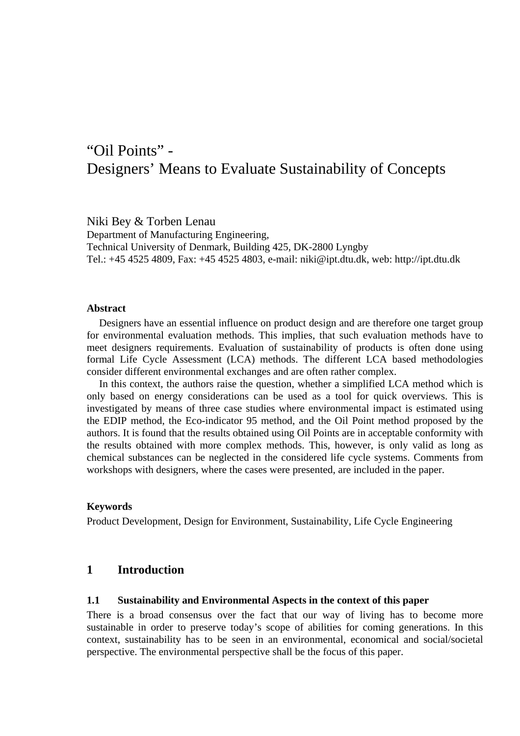# "Oil Points" - Designers' Means to Evaluate Sustainability of Concepts

Niki Bey & Torben Lenau Department of Manufacturing Engineering, Technical University of Denmark, Building 425, DK-2800 Lyngby Tel.: +45 4525 4809, Fax: +45 4525 4803, e-mail: niki@ipt.dtu.dk, web: http://ipt.dtu.dk

#### **Abstract**

Designers have an essential influence on product design and are therefore one target group for environmental evaluation methods. This implies, that such evaluation methods have to meet designers requirements. Evaluation of sustainability of products is often done using formal Life Cycle Assessment (LCA) methods. The different LCA based methodologies consider different environmental exchanges and are often rather complex.

In this context, the authors raise the question, whether a simplified LCA method which is only based on energy considerations can be used as a tool for quick overviews. This is investigated by means of three case studies where environmental impact is estimated using the EDIP method, the Eco-indicator 95 method, and the Oil Point method proposed by the authors. It is found that the results obtained using Oil Points are in acceptable conformity with the results obtained with more complex methods. This, however, is only valid as long as chemical substances can be neglected in the considered life cycle systems. Comments from workshops with designers, where the cases were presented, are included in the paper.

### **Keywords**

Product Development, Design for Environment, Sustainability, Life Cycle Engineering

# **1 Introduction**

#### **1.1 Sustainability and Environmental Aspects in the context of this paper**

There is a broad consensus over the fact that our way of living has to become more sustainable in order to preserve today's scope of abilities for coming generations. In this context, sustainability has to be seen in an environmental, economical and social/societal perspective. The environmental perspective shall be the focus of this paper.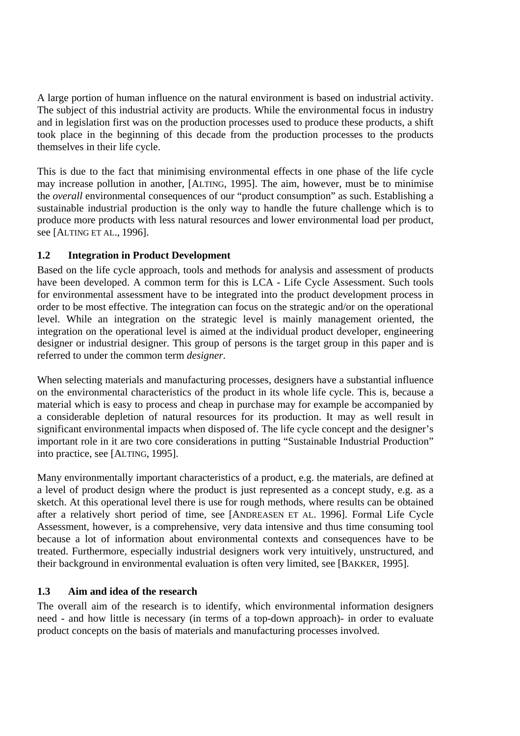A large portion of human influence on the natural environment is based on industrial activity. The subject of this industrial activity are products. While the environmental focus in industry and in legislation first was on the production processes used to produce these products, a shift took place in the beginning of this decade from the production processes to the products themselves in their life cycle.

This is due to the fact that minimising environmental effects in one phase of the life cycle may increase pollution in another, [ALTING, 1995]. The aim, however, must be to minimise the *overall* environmental consequences of our "product consumption" as such. Establishing a sustainable industrial production is the only way to handle the future challenge which is to produce more products with less natural resources and lower environmental load per product, see [ALTING ET AL., 1996].

# **1.2 Integration in Product Development**

Based on the life cycle approach, tools and methods for analysis and assessment of products have been developed. A common term for this is LCA - Life Cycle Assessment. Such tools for environmental assessment have to be integrated into the product development process in order to be most effective. The integration can focus on the strategic and/or on the operational level. While an integration on the strategic level is mainly management oriented, the integration on the operational level is aimed at the individual product developer, engineering designer or industrial designer. This group of persons is the target group in this paper and is referred to under the common term *designer*.

When selecting materials and manufacturing processes, designers have a substantial influence on the environmental characteristics of the product in its whole life cycle. This is, because a material which is easy to process and cheap in purchase may for example be accompanied by a considerable depletion of natural resources for its production. It may as well result in significant environmental impacts when disposed of. The life cycle concept and the designer's important role in it are two core considerations in putting "Sustainable Industrial Production" into practice, see [ALTING, 1995].

Many environmentally important characteristics of a product, e.g. the materials, are defined at a level of product design where the product is just represented as a concept study, e.g. as a sketch. At this operational level there is use for rough methods, where results can be obtained after a relatively short period of time, see [ANDREASEN ET AL. 1996]. Formal Life Cycle Assessment, however, is a comprehensive, very data intensive and thus time consuming tool because a lot of information about environmental contexts and consequences have to be treated. Furthermore, especially industrial designers work very intuitively, unstructured, and their background in environmental evaluation is often very limited, see [BAKKER, 1995].

# **1.3 Aim and idea of the research**

The overall aim of the research is to identify, which environmental information designers need - and how little is necessary (in terms of a top-down approach)- in order to evaluate product concepts on the basis of materials and manufacturing processes involved.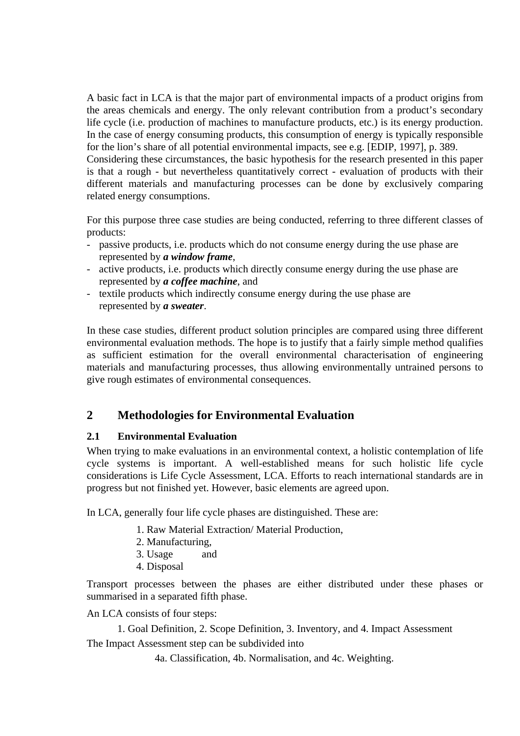A basic fact in LCA is that the major part of environmental impacts of a product origins from the areas chemicals and energy. The only relevant contribution from a product's secondary life cycle (i.e. production of machines to manufacture products, etc.) is its energy production. In the case of energy consuming products, this consumption of energy is typically responsible for the lion's share of all potential environmental impacts, see e.g. [EDIP, 1997], p. 389.

Considering these circumstances, the basic hypothesis for the research presented in this paper is that a rough - but nevertheless quantitatively correct - evaluation of products with their different materials and manufacturing processes can be done by exclusively comparing related energy consumptions.

For this purpose three case studies are being conducted, referring to three different classes of products:

- passive products, i.e. products which do not consume energy during the use phase are represented by *a window frame*,
- active products, i.e. products which directly consume energy during the use phase are represented by *a coffee machine*, and
- textile products which indirectly consume energy during the use phase are represented by *a sweater*.

In these case studies, different product solution principles are compared using three different environmental evaluation methods. The hope is to justify that a fairly simple method qualifies as sufficient estimation for the overall environmental characterisation of engineering materials and manufacturing processes, thus allowing environmentally untrained persons to give rough estimates of environmental consequences.

# **2 Methodologies for Environmental Evaluation**

# **2.1 Environmental Evaluation**

When trying to make evaluations in an environmental context, a holistic contemplation of life cycle systems is important. A well-established means for such holistic life cycle considerations is Life Cycle Assessment, LCA. Efforts to reach international standards are in progress but not finished yet. However, basic elements are agreed upon.

In LCA, generally four life cycle phases are distinguished. These are:

- 1. Raw Material Extraction/ Material Production,
- 2. Manufacturing,
- 3. Usage and
- 4. Disposal

Transport processes between the phases are either distributed under these phases or summarised in a separated fifth phase.

An LCA consists of four steps:

1. Goal Definition, 2. Scope Definition, 3. Inventory, and 4. Impact Assessment The Impact Assessment step can be subdivided into

4a. Classification, 4b. Normalisation, and 4c. Weighting.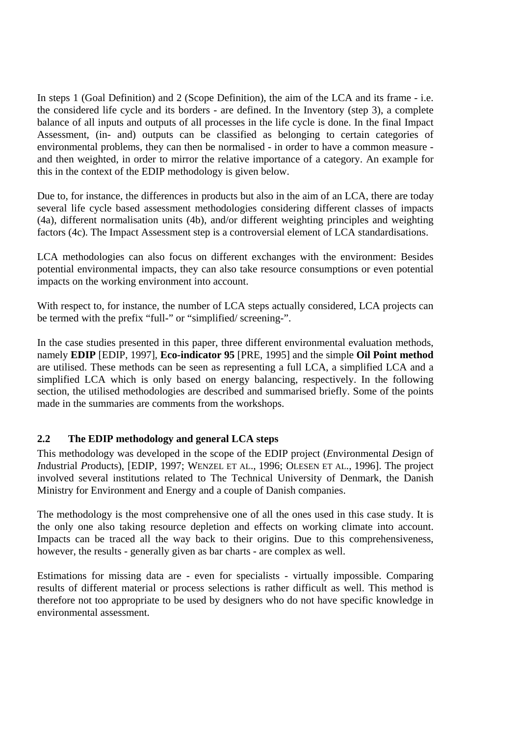In steps 1 (Goal Definition) and 2 (Scope Definition), the aim of the LCA and its frame - i.e. the considered life cycle and its borders - are defined. In the Inventory (step 3), a complete balance of all inputs and outputs of all processes in the life cycle is done. In the final Impact Assessment, (in- and) outputs can be classified as belonging to certain categories of environmental problems, they can then be normalised - in order to have a common measure and then weighted, in order to mirror the relative importance of a category. An example for this in the context of the EDIP methodology is given below.

Due to, for instance, the differences in products but also in the aim of an LCA, there are today several life cycle based assessment methodologies considering different classes of impacts (4a), different normalisation units (4b), and/or different weighting principles and weighting factors (4c). The Impact Assessment step is a controversial element of LCA standardisations.

LCA methodologies can also focus on different exchanges with the environment: Besides potential environmental impacts, they can also take resource consumptions or even potential impacts on the working environment into account.

With respect to, for instance, the number of LCA steps actually considered, LCA projects can be termed with the prefix "full-" or "simplified/ screening-".

In the case studies presented in this paper, three different environmental evaluation methods, namely **EDIP** [EDIP, 1997], **Eco-indicator 95** [PRE, 1995] and the simple **Oil Point method**  are utilised. These methods can be seen as representing a full LCA, a simplified LCA and a simplified LCA which is only based on energy balancing, respectively. In the following section, the utilised methodologies are described and summarised briefly. Some of the points made in the summaries are comments from the workshops.

# **2.2 The EDIP methodology and general LCA steps**

This methodology was developed in the scope of the EDIP project (*E*nvironmental *D*esign of *I*ndustrial *P*roducts), [EDIP, 1997; WENZEL ET AL., 1996; OLESEN ET AL., 1996]. The project involved several institutions related to The Technical University of Denmark, the Danish Ministry for Environment and Energy and a couple of Danish companies.

The methodology is the most comprehensive one of all the ones used in this case study. It is the only one also taking resource depletion and effects on working climate into account. Impacts can be traced all the way back to their origins. Due to this comprehensiveness, however, the results - generally given as bar charts - are complex as well.

Estimations for missing data are - even for specialists - virtually impossible. Comparing results of different material or process selections is rather difficult as well. This method is therefore not too appropriate to be used by designers who do not have specific knowledge in environmental assessment.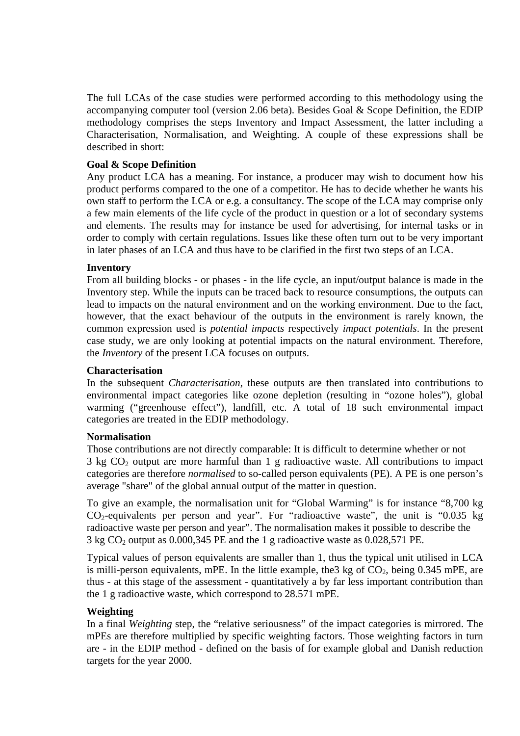The full LCAs of the case studies were performed according to this methodology using the accompanying computer tool (version 2.06 beta). Besides Goal & Scope Definition, the EDIP methodology comprises the steps Inventory and Impact Assessment, the latter including a Characterisation, Normalisation, and Weighting. A couple of these expressions shall be described in short:

# **Goal & Scope Definition**

Any product LCA has a meaning. For instance, a producer may wish to document how his product performs compared to the one of a competitor. He has to decide whether he wants his own staff to perform the LCA or e.g. a consultancy. The scope of the LCA may comprise only a few main elements of the life cycle of the product in question or a lot of secondary systems and elements. The results may for instance be used for advertising, for internal tasks or in order to comply with certain regulations. Issues like these often turn out to be very important in later phases of an LCA and thus have to be clarified in the first two steps of an LCA.

# **Inventory**

From all building blocks - or phases - in the life cycle, an input/output balance is made in the Inventory step. While the inputs can be traced back to resource consumptions, the outputs can lead to impacts on the natural environment and on the working environment. Due to the fact, however, that the exact behaviour of the outputs in the environment is rarely known, the common expression used is *potential impacts* respectively *impact potentials*. In the present case study, we are only looking at potential impacts on the natural environment. Therefore, the *Inventory* of the present LCA focuses on outputs.

# **Characterisation**

In the subsequent *Characterisation*, these outputs are then translated into contributions to environmental impact categories like ozone depletion (resulting in "ozone holes"), global warming ("greenhouse effect"), landfill, etc. A total of 18 such environmental impact categories are treated in the EDIP methodology.

# **Normalisation**

Those contributions are not directly comparable: It is difficult to determine whether or not  $3 \text{ kg CO}_2$  output are more harmful than 1 g radioactive waste. All contributions to impact categories are therefore *normalised* to so-called person equivalents (PE). A PE is one person's average "share" of the global annual output of the matter in question.

To give an example, the normalisation unit for "Global Warming" is for instance "8,700 kg  $CO<sub>2</sub>$ -equivalents per person and year". For "radioactive waste", the unit is "0.035 kg radioactive waste per person and year". The normalisation makes it possible to describe the  $3 \text{ kg CO}_2$  output as 0.000,345 PE and the 1 g radioactive waste as 0.028,571 PE.

Typical values of person equivalents are smaller than 1, thus the typical unit utilised in LCA is milli-person equivalents, mPE. In the little example, the  $3 \text{ kg of CO}_2$ , being 0.345 mPE, are thus - at this stage of the assessment - quantitatively a by far less important contribution than the 1 g radioactive waste, which correspond to 28.571 mPE.

# **Weighting**

In a final *Weighting* step, the "relative seriousness" of the impact categories is mirrored. The mPEs are therefore multiplied by specific weighting factors. Those weighting factors in turn are - in the EDIP method - defined on the basis of for example global and Danish reduction targets for the year 2000.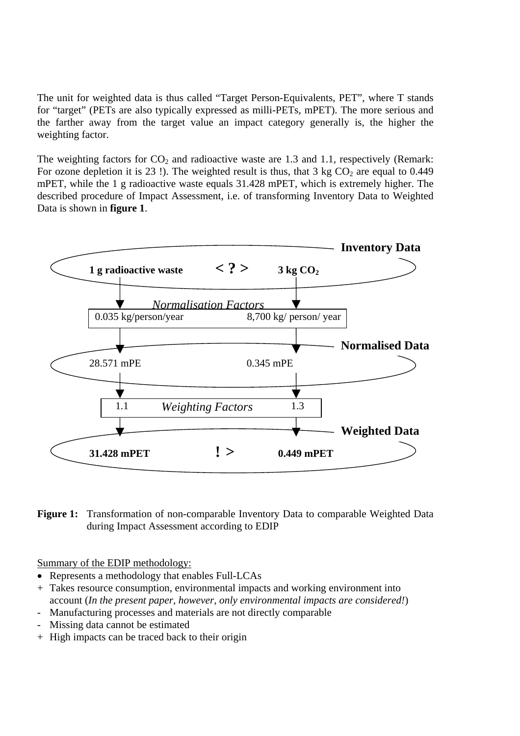The unit for weighted data is thus called "Target Person-Equivalents, PET", where T stands for "target" (PETs are also typically expressed as milli-PETs, mPET). The more serious and the farther away from the target value an impact category generally is, the higher the weighting factor.

The weighting factors for  $CO_2$  and radioactive waste are 1.3 and 1.1, respectively (Remark: For ozone depletion it is 23!). The weighted result is thus, that  $3 \text{ kg CO}_2$  are equal to 0.449 mPET, while the 1 g radioactive waste equals 31.428 mPET, which is extremely higher. The described procedure of Impact Assessment, i.e. of transforming Inventory Data to Weighted Data is shown in **figure 1**.



**Figure 1:** Transformation of non-comparable Inventory Data to comparable Weighted Data during Impact Assessment according to EDIP

Summary of the EDIP methodology:

- Represents a methodology that enables Full-LCAs
- + Takes resource consumption, environmental impacts and working environment into account (*In the present paper, however, only environmental impacts are considered!*)
- Manufacturing processes and materials are not directly comparable
- Missing data cannot be estimated
- + High impacts can be traced back to their origin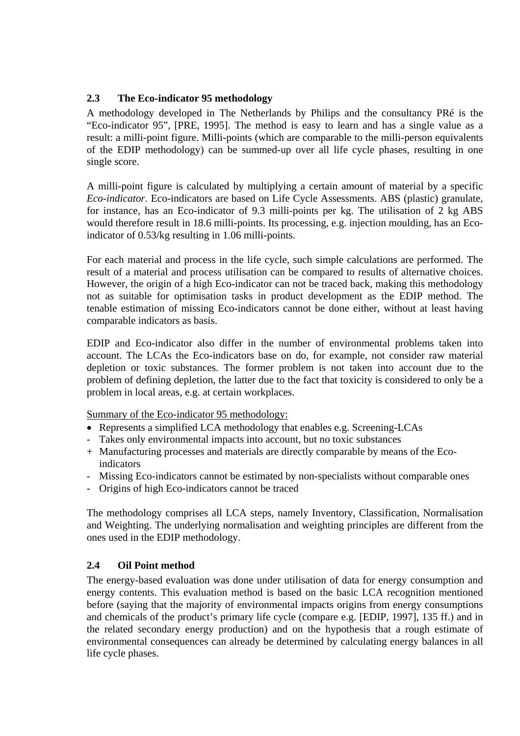# **2.3 The Eco-indicator 95 methodology**

A methodology developed in The Netherlands by Philips and the consultancy PRé is the "Eco-indicator 95", [PRE, 1995]. The method is easy to learn and has a single value as a result: a milli-point figure. Milli-points (which are comparable to the milli-person equivalents of the EDIP methodology) can be summed-up over all life cycle phases, resulting in one single score.

A milli-point figure is calculated by multiplying a certain amount of material by a specific *Eco-indicator*. Eco-indicators are based on Life Cycle Assessments. ABS (plastic) granulate, for instance, has an Eco-indicator of 9.3 milli-points per kg. The utilisation of 2 kg ABS would therefore result in 18.6 milli-points. Its processing, e.g. injection moulding, has an Ecoindicator of 0.53/kg resulting in 1.06 milli-points.

For each material and process in the life cycle, such simple calculations are performed. The result of a material and process utilisation can be compared to results of alternative choices. However, the origin of a high Eco-indicator can not be traced back, making this methodology not as suitable for optimisation tasks in product development as the EDIP method. The tenable estimation of missing Eco-indicators cannot be done either, without at least having comparable indicators as basis.

EDIP and Eco-indicator also differ in the number of environmental problems taken into account. The LCAs the Eco-indicators base on do, for example, not consider raw material depletion or toxic substances. The former problem is not taken into account due to the problem of defining depletion, the latter due to the fact that toxicity is considered to only be a problem in local areas, e.g. at certain workplaces.

Summary of the Eco-indicator 95 methodology:

- Represents a simplified LCA methodology that enables e.g. Screening-LCAs
- Takes only environmental impacts into account, but no toxic substances
- + Manufacturing processes and materials are directly comparable by means of the Ecoindicators
- Missing Eco-indicators cannot be estimated by non-specialists without comparable ones
- Origins of high Eco-indicators cannot be traced

The methodology comprises all LCA steps, namely Inventory, Classification, Normalisation and Weighting. The underlying normalisation and weighting principles are different from the ones used in the EDIP methodology.

# **2.4 Oil Point method**

The energy-based evaluation was done under utilisation of data for energy consumption and energy contents. This evaluation method is based on the basic LCA recognition mentioned before (saying that the majority of environmental impacts origins from energy consumptions and chemicals of the product's primary life cycle (compare e.g. [EDIP, 1997], 135 ff.) and in the related secondary energy production) and on the hypothesis that a rough estimate of environmental consequences can already be determined by calculating energy balances in all life cycle phases.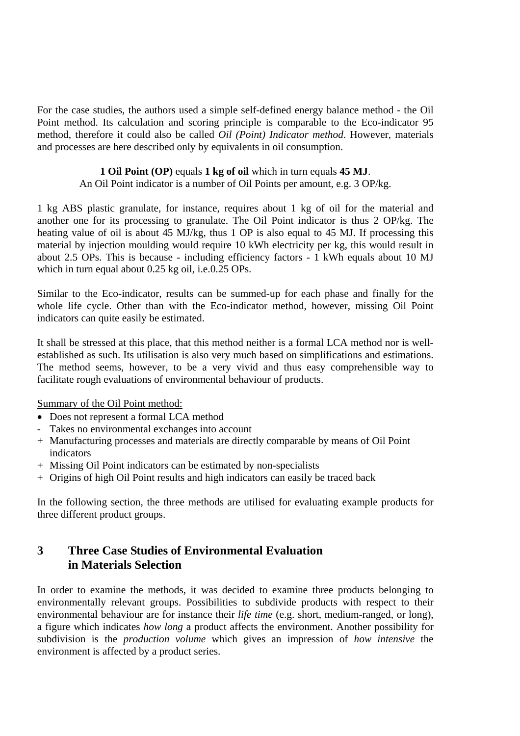For the case studies, the authors used a simple self-defined energy balance method - the Oil Point method. Its calculation and scoring principle is comparable to the Eco-indicator 95 method, therefore it could also be called *Oil (Point) Indicator method*. However, materials and processes are here described only by equivalents in oil consumption.

# **1 Oil Point (OP)** equals **1 kg of oil** which in turn equals **45 MJ**.

An Oil Point indicator is a number of Oil Points per amount, e.g. 3 OP/kg.

1 kg ABS plastic granulate, for instance, requires about 1 kg of oil for the material and another one for its processing to granulate. The Oil Point indicator is thus 2 OP/kg. The heating value of oil is about 45 MJ/kg, thus 1 OP is also equal to 45 MJ. If processing this material by injection moulding would require 10 kWh electricity per kg, this would result in about 2.5 OPs. This is because - including efficiency factors - 1 kWh equals about 10 MJ which in turn equal about 0.25 kg oil, i.e.0.25 OPs.

Similar to the Eco-indicator, results can be summed-up for each phase and finally for the whole life cycle. Other than with the Eco-indicator method, however, missing Oil Point indicators can quite easily be estimated.

It shall be stressed at this place, that this method neither is a formal LCA method nor is wellestablished as such. Its utilisation is also very much based on simplifications and estimations. The method seems, however, to be a very vivid and thus easy comprehensible way to facilitate rough evaluations of environmental behaviour of products.

Summary of the Oil Point method:

- Does not represent a formal LCA method
- Takes no environmental exchanges into account
- + Manufacturing processes and materials are directly comparable by means of Oil Point indicators
- + Missing Oil Point indicators can be estimated by non-specialists
- + Origins of high Oil Point results and high indicators can easily be traced back

In the following section, the three methods are utilised for evaluating example products for three different product groups.

# **3 Three Case Studies of Environmental Evaluation in Materials Selection**

In order to examine the methods, it was decided to examine three products belonging to environmentally relevant groups. Possibilities to subdivide products with respect to their environmental behaviour are for instance their *life time* (e.g. short, medium-ranged, or long), a figure which indicates *how long* a product affects the environment. Another possibility for subdivision is the *production volume* which gives an impression of *how intensive* the environment is affected by a product series.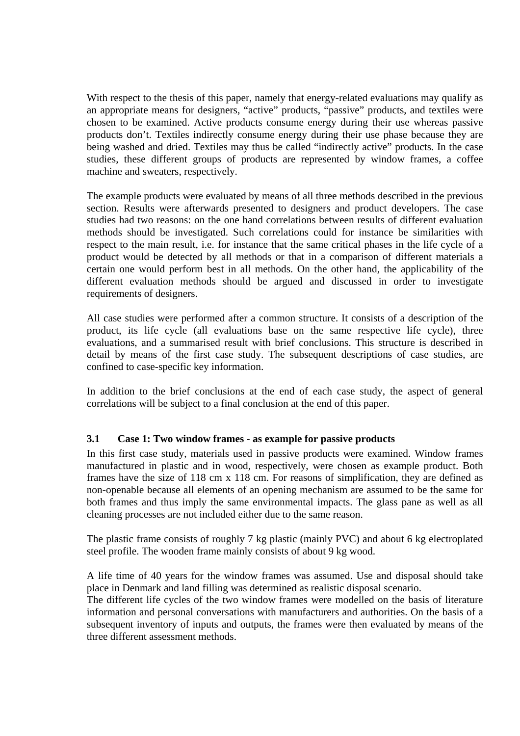With respect to the thesis of this paper, namely that energy-related evaluations may qualify as an appropriate means for designers, "active" products, "passive" products, and textiles were chosen to be examined. Active products consume energy during their use whereas passive products don't. Textiles indirectly consume energy during their use phase because they are being washed and dried. Textiles may thus be called "indirectly active" products. In the case studies, these different groups of products are represented by window frames, a coffee machine and sweaters, respectively.

The example products were evaluated by means of all three methods described in the previous section. Results were afterwards presented to designers and product developers. The case studies had two reasons: on the one hand correlations between results of different evaluation methods should be investigated. Such correlations could for instance be similarities with respect to the main result, i.e. for instance that the same critical phases in the life cycle of a product would be detected by all methods or that in a comparison of different materials a certain one would perform best in all methods. On the other hand, the applicability of the different evaluation methods should be argued and discussed in order to investigate requirements of designers.

All case studies were performed after a common structure. It consists of a description of the product, its life cycle (all evaluations base on the same respective life cycle), three evaluations, and a summarised result with brief conclusions. This structure is described in detail by means of the first case study. The subsequent descriptions of case studies, are confined to case-specific key information.

In addition to the brief conclusions at the end of each case study, the aspect of general correlations will be subject to a final conclusion at the end of this paper.

# **3.1 Case 1: Two window frames - as example for passive products**

In this first case study, materials used in passive products were examined. Window frames manufactured in plastic and in wood, respectively, were chosen as example product. Both frames have the size of 118 cm x 118 cm. For reasons of simplification, they are defined as non-openable because all elements of an opening mechanism are assumed to be the same for both frames and thus imply the same environmental impacts. The glass pane as well as all cleaning processes are not included either due to the same reason.

The plastic frame consists of roughly 7 kg plastic (mainly PVC) and about 6 kg electroplated steel profile. The wooden frame mainly consists of about 9 kg wood.

A life time of 40 years for the window frames was assumed. Use and disposal should take place in Denmark and land filling was determined as realistic disposal scenario.

The different life cycles of the two window frames were modelled on the basis of literature information and personal conversations with manufacturers and authorities. On the basis of a subsequent inventory of inputs and outputs, the frames were then evaluated by means of the three different assessment methods.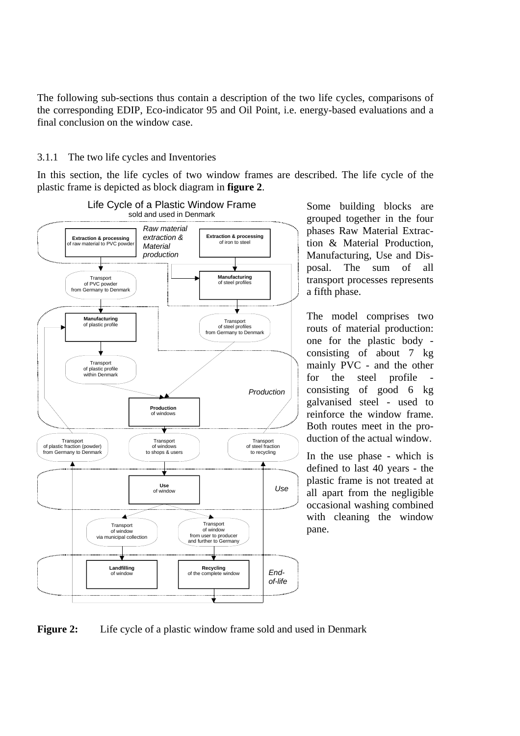The following sub-sections thus contain a description of the two life cycles, comparisons of the corresponding EDIP, Eco-indicator 95 and Oil Point, i.e. energy-based evaluations and a final conclusion on the window case.

# 3.1.1 The two life cycles and Inventories

In this section, the life cycles of two window frames are described. The life cycle of the plastic frame is depicted as block diagram in **figure 2**.



Some building blocks are grouped together in the four phases Raw Material Extraction & Material Production, Manufacturing, Use and Disposal. The sum of all transport processes represents a fifth phase.

The model comprises two routs of material production: one for the plastic body consisting of about 7 kg mainly PVC - and the other for the steel profile consisting of good 6 kg galvanised steel - used to reinforce the window frame. Both routes meet in the production of the actual window.

In the use phase - which is defined to last 40 years - the plastic frame is not treated at all apart from the negligible occasional washing combined with cleaning the window pane.

Figure 2: Life cycle of a plastic window frame sold and used in Denmark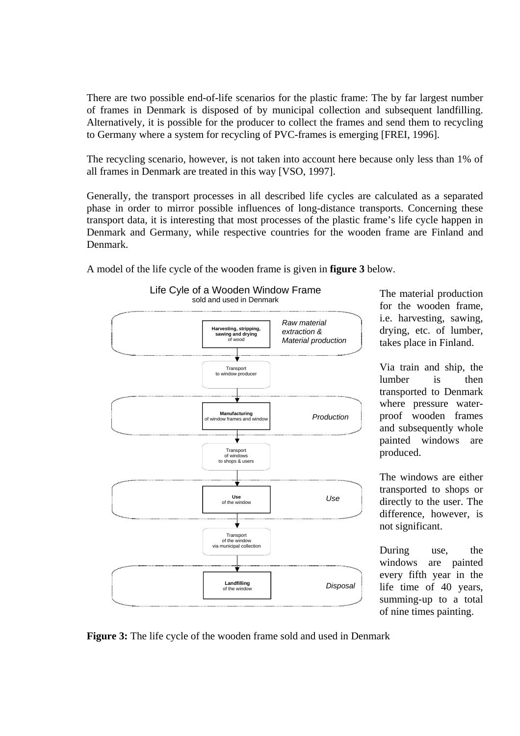There are two possible end-of-life scenarios for the plastic frame: The by far largest number of frames in Denmark is disposed of by municipal collection and subsequent landfilling. Alternatively, it is possible for the producer to collect the frames and send them to recycling to Germany where a system for recycling of PVC-frames is emerging [FREI, 1996].

The recycling scenario, however, is not taken into account here because only less than 1% of all frames in Denmark are treated in this way [VSO, 1997].

Generally, the transport processes in all described life cycles are calculated as a separated phase in order to mirror possible influences of long-distance transports. Concerning these transport data, it is interesting that most processes of the plastic frame's life cycle happen in Denmark and Germany, while respective countries for the wooden frame are Finland and Denmark.



A model of the life cycle of the wooden frame is given in **figure 3** below.

The material production for the wooden frame, i.e. harvesting, sawing, drying, etc. of lumber, takes place in Finland.

Via train and ship, the lumber is then transported to Denmark where pressure waterproof wooden frames and subsequently whole painted windows are produced.

The windows are either transported to shops or directly to the user. The difference, however, is not significant.

During use, the windows are painted every fifth year in the life time of 40 years, summing-up to a total of nine times painting.

**Figure 3:** The life cycle of the wooden frame sold and used in Denmark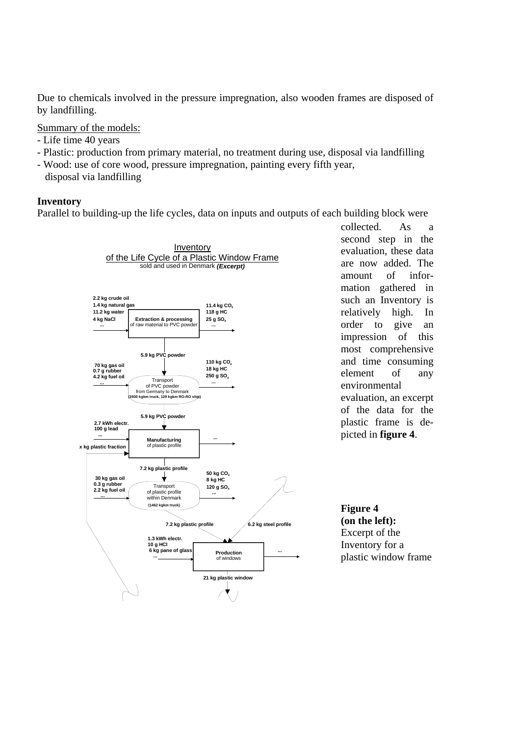Due to chemicals involved in the pressure impregnation, also wooden frames are disposed of by landfilling.

Summary of the models:

- Life time 40 years
- Plastic: production from primary material, no treatment during use, disposal via landfilling
- Wood: use of core wood, pressure impregnation, painting every fifth year,
- disposal via landfilling

# **Inventory**

Parallel to building-up the life cycles, data on inputs and outputs of each building block were



collected. As a second step in the evaluation, these data are now added. The amount of information gathered in such an Inventory is relatively high. In order to give an impression of this most comprehensive and time consuming element of any environmental evaluation, an excerpt of the data for the plastic frame is depicted in **figure 4**.

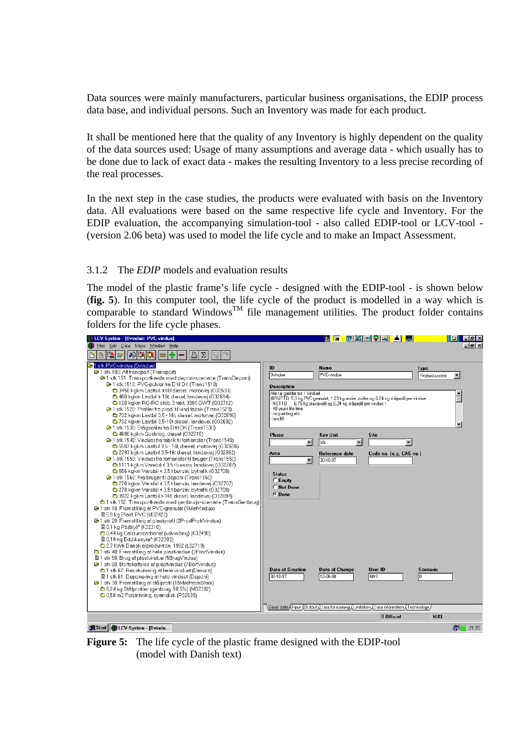Data sources were mainly manufacturers, particular business organisations, the EDIP process data base, and individual persons. Such an Inventory was made for each product.

It shall be mentioned here that the quality of any Inventory is highly dependent on the quality of the data sources used: Usage of many assumptions and average data - which usually has to be done due to lack of exact data - makes the resulting Inventory to a less precise recording of the real processes.

In the next step in the case studies, the products were evaluated with basis on the Inventory data. All evaluations were based on the same respective life cycle and Inventory. For the EDIP evaluation, the accompanying simulation-tool - also called EDIP-tool or LCV-tool - (version 2.06 beta) was used to model the life cycle and to make an Impact Assessment.

# 3.1.2 The *EDIP* models and evaluation results

The model of the plastic frame's life cycle - designed with the EDIP-tool - is shown below (**fig. 5**). In this computer tool, the life cycle of the product is modelled in a way which is comparable to standard Windows<sup>TM</sup> file management utilities. The product folder contains folders for the life cycle phases.

| LCV-System - [Ovindue: PVC-vindue]                                                                                                                                                                                                                                                                                                                                                                                                                                                                                                                                                                                                                                                                                                                                                                                                                                                                                                                                                                                                                                                                                                                                                                                                                                                                                                                                                                                                                                                                                                                                                                                                                                                                                                                                                                                                                                                                                                                                                                      |                                                                                                                                                                                                                                                                                     | <b>F</b>                                                                                                                                                                                                     | <u> MXHQQLAISH</u>                                                                                                                                |                                          | - 61 | $\Box$ e $\times$ |
|---------------------------------------------------------------------------------------------------------------------------------------------------------------------------------------------------------------------------------------------------------------------------------------------------------------------------------------------------------------------------------------------------------------------------------------------------------------------------------------------------------------------------------------------------------------------------------------------------------------------------------------------------------------------------------------------------------------------------------------------------------------------------------------------------------------------------------------------------------------------------------------------------------------------------------------------------------------------------------------------------------------------------------------------------------------------------------------------------------------------------------------------------------------------------------------------------------------------------------------------------------------------------------------------------------------------------------------------------------------------------------------------------------------------------------------------------------------------------------------------------------------------------------------------------------------------------------------------------------------------------------------------------------------------------------------------------------------------------------------------------------------------------------------------------------------------------------------------------------------------------------------------------------------------------------------------------------------------------------------------------------|-------------------------------------------------------------------------------------------------------------------------------------------------------------------------------------------------------------------------------------------------------------------------------------|--------------------------------------------------------------------------------------------------------------------------------------------------------------------------------------------------------------|---------------------------------------------------------------------------------------------------------------------------------------------------|------------------------------------------|------|-------------------|
| Edit Data Show Window Help<br><b>E</b> Files                                                                                                                                                                                                                                                                                                                                                                                                                                                                                                                                                                                                                                                                                                                                                                                                                                                                                                                                                                                                                                                                                                                                                                                                                                                                                                                                                                                                                                                                                                                                                                                                                                                                                                                                                                                                                                                                                                                                                            |                                                                                                                                                                                                                                                                                     |                                                                                                                                                                                                              |                                                                                                                                                   |                                          |      | $- B  \times$     |
| $ \mathbb{R} $<br><b>SE</b><br>+<br>凸<br>粵<br>酿<br>B<br>Σ<br>D.<br>G<br>〓<br>骊                                                                                                                                                                                                                                                                                                                                                                                                                                                                                                                                                                                                                                                                                                                                                                                                                                                                                                                                                                                                                                                                                                                                                                                                                                                                                                                                                                                                                                                                                                                                                                                                                                                                                                                                                                                                                                                                                                                          |                                                                                                                                                                                                                                                                                     |                                                                                                                                                                                                              |                                                                                                                                                   |                                          |      |                   |
| 1 stk PVC-vindue (0vindue)<br><sup>2</sup> 1 stk 100: Alt transport (Transport)<br>@ 1 stk 151: Transportkæde med deponi-scenarie (TransDeponi)<br><sup>2</sup> 1 stk 1510: PVC-pulver fra D til DK (Trans1510)<br>□ 3450 kakm Lastbil, >16t diesel, motorvei (032693)<br>480 kgkm Lastbil > 16t, diesel, landevej (O32694)<br>120 kgkm RO-RO skib, 2 takt. 3900 DWT (032712)<br>→ 1 stk 1520: Profiler fra prod. til vind.fabrik (Trans1520)<br>732 kakm Lastbil 3.5 - 16t, diesel, motorvei (032696)<br>232 kakm Lastbil 3.5-16t diesel, landevei (032692)<br><sup>29</sup> 1 stk 1530: Stålprofiler fra D til DK (Trans1530)<br>6 4680 kgkm Godstog, diesel (O32710)<br><sup>2</sup> 1 stk 1540: Vinduer fra fabrik til forhandler (Trans1540)<br>6 5587 kgkm Lastbil 3,5 - 16t diesel, motorvej (032696)<br>2793 kgkm Lastbil 3,5-16t diesel, landevej (O32692)<br>→ 1 stk 1550: Vinduer fra forhandler til bruger (Trans1550)<br>1111 kgkm Varebil < 3,5 t benzin, landevej (032707)<br>6 556 kgkm Varebil < 3,5 t benzin, bytrafik (O32708)<br><b>2</b> 91 stk 1560: Fra bruger til deponi (Trans1560)<br>₾ 278 kgkm Varebil < 3,5 t benzin, landevej (O32707)<br><b>■ 278 kgkm Varebil &lt; 3,5 t benzin, bytrafik (O32708)</b><br>6 3922 kakm Lastbil > 16t diesel, landevei (O32694)<br>6 1 stk 152: Transportkæde med genbrugs-scenarie (TransGenbrug)<br><sup>2</sup> 1 stk 10: Fremstilling af PVC-granulat (1MatVindue)<br>圖 5.9 kg Plast PVC (M32422)<br>→ 1 stk 20: Fremstilling af plastprofil (2ProdProfilVindue)<br>■ 0.1 kg Pb(bly)* (K32310)<br>6 0.44 kg Calciumcarbonat (udvinding) (K32490)<br>■ 0,19 kg Eddikesyre* (K32303)<br>2.7 kWh Dansk elproduktion, 1992 (L32719)<br>6 1 stk 40: Fremstilling af hele plastvindue (3ProdVindue)<br>图 1 stk 50: Brug af plastvindue (5BrugVindue)<br><sup>●</sup> 1 stk 60: Bortskaffelse af plastvindue (7BortVindue)<br><sup>1</sup> stk 62: Recirkulering af hele vinduet (Dekura)<br>图 1 stk 61: Deponering af hele vinduet (Deponi) | ID<br><b>Ovindue</b><br><b>Description</b><br>Alle tal gælder for 1 vindue!<br>40 years life time<br>no painting etc.<br>landfill<br><b>Phase</b><br>▾<br>Area<br>$\blacktriangledown$<br><b>Status</b><br>$C$ Empty<br>C Not Done<br>C Done<br><b>Date of Creation</b><br>30-10-97 | Name<br><b>FVC-vindue</b><br>NETTO: 6,75 kg plastprofil og 6,24 kg stålprofil per vindue )<br><b>Key Unit</b><br>stk<br>$\overline{\phantom{a}}$<br>Reference date<br>30-10-97<br>Date of Change<br>10-06-98 | (BRUTTO: 5,9 kg PVC-granulat; 1,23 kg andre stoffer og 6,24 kg stålprofil per vindue<br>Site<br>Code no. (e.g. CAS no.)<br>User ID<br><b>NIKI</b> | Type<br>Productsystem<br>Scenario<br>In. |      |                   |
| @ 1 stk 30: Fremstilling af stålprofil (15MatFremStaal)<br>6,24 kg Stålprofiler (genbrug, 90,5%) (M32382)                                                                                                                                                                                                                                                                                                                                                                                                                                                                                                                                                                                                                                                                                                                                                                                                                                                                                                                                                                                                                                                                                                                                                                                                                                                                                                                                                                                                                                                                                                                                                                                                                                                                                                                                                                                                                                                                                               |                                                                                                                                                                                                                                                                                     |                                                                                                                                                                                                              |                                                                                                                                                   |                                          |      |                   |
| 6 0,58 m2 Forzinkning, cyanidisk (P32635)                                                                                                                                                                                                                                                                                                                                                                                                                                                                                                                                                                                                                                                                                                                                                                                                                                                                                                                                                                                                                                                                                                                                                                                                                                                                                                                                                                                                                                                                                                                                                                                                                                                                                                                                                                                                                                                                                                                                                               |                                                                                                                                                                                                                                                                                     |                                                                                                                                                                                                              |                                                                                                                                                   |                                          |      |                   |
|                                                                                                                                                                                                                                                                                                                                                                                                                                                                                                                                                                                                                                                                                                                                                                                                                                                                                                                                                                                                                                                                                                                                                                                                                                                                                                                                                                                                                                                                                                                                                                                                                                                                                                                                                                                                                                                                                                                                                                                                         |                                                                                                                                                                                                                                                                                     |                                                                                                                                                                                                              | /Basic data {Input {Output {Data for running {Limitation {Data information {Technology}}                                                          |                                          |      |                   |
|                                                                                                                                                                                                                                                                                                                                                                                                                                                                                                                                                                                                                                                                                                                                                                                                                                                                                                                                                                                                                                                                                                                                                                                                                                                                                                                                                                                                                                                                                                                                                                                                                                                                                                                                                                                                                                                                                                                                                                                                         |                                                                                                                                                                                                                                                                                     |                                                                                                                                                                                                              | 0 Officiel                                                                                                                                        | <b>NIKI</b>                              |      |                   |
| Start   LCV-System - [Ovindu                                                                                                                                                                                                                                                                                                                                                                                                                                                                                                                                                                                                                                                                                                                                                                                                                                                                                                                                                                                                                                                                                                                                                                                                                                                                                                                                                                                                                                                                                                                                                                                                                                                                                                                                                                                                                                                                                                                                                                            |                                                                                                                                                                                                                                                                                     |                                                                                                                                                                                                              |                                                                                                                                                   |                                          | 图    | 21:20             |

**Figure 5:** The life cycle of the plastic frame designed with the EDIP-tool (model with Danish text)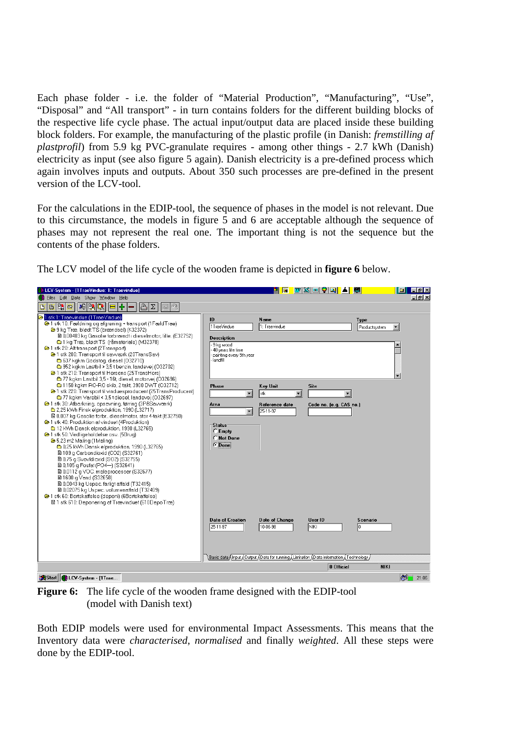Each phase folder - i.e. the folder of "Material Production", "Manufacturing", "Use", "Disposal" and "All transport" - in turn contains folders for the different building blocks of the respective life cycle phase. The actual input/output data are placed inside these building block folders. For example, the manufacturing of the plastic profile (in Danish: *fremstilling af plastprofil*) from 5.9 kg PVC-granulate requires - among other things - 2.7 kWh (Danish) electricity as input (see also figure 5 again). Danish electricity is a pre-defined process which again involves inputs and outputs. About 350 such processes are pre-defined in the present version of the LCV-tool.

For the calculations in the EDIP-tool, the sequence of phases in the model is not relevant. Due to this circumstance, the models in figure 5 and 6 are acceptable although the sequence of phases may not represent the real one. The important thing is not the sequence but the contents of the phase folders.

| LCV-System - [1TraeVindue: 1: Traevindue]                                                                                                                                                                                                                                                                                                                                                                                                                                                                                                                                                                                                                                                                                                                                                                                                                        |                                                                                                                                | 同                          | <u> Mxeoqi</u> L <mark>e</mark>     |                        | $\Box$ $\Box$ $\times$ |
|------------------------------------------------------------------------------------------------------------------------------------------------------------------------------------------------------------------------------------------------------------------------------------------------------------------------------------------------------------------------------------------------------------------------------------------------------------------------------------------------------------------------------------------------------------------------------------------------------------------------------------------------------------------------------------------------------------------------------------------------------------------------------------------------------------------------------------------------------------------|--------------------------------------------------------------------------------------------------------------------------------|----------------------------|-------------------------------------|------------------------|------------------------|
| Files Edit Data Show Window Help                                                                                                                                                                                                                                                                                                                                                                                                                                                                                                                                                                                                                                                                                                                                                                                                                                 |                                                                                                                                |                            |                                     |                        | $- B $ $\times$        |
| 四向<br>$ \mathcal{L} \mathbb{R} $<br>L<br>╇<br>Σ<br>B<br>D l<br>昌                                                                                                                                                                                                                                                                                                                                                                                                                                                                                                                                                                                                                                                                                                                                                                                                 |                                                                                                                                |                            |                                     |                        |                        |
| 81 stk 1: Traevindue (1TraeVindue)<br>@ 1 stk 10: Fældning og afgrening + transport (1 Fæld Trae)<br>→ 9 kg Træ, blødt TS (brændsel) (K32372)<br>■ 0,00403 kg Gasolie forbrændt i dieselmotor, lille. (E32752)<br><sup>6</sup> 1 kg Træ, blødt TS (råmateriale) (M32378)                                                                                                                                                                                                                                                                                                                                                                                                                                                                                                                                                                                         | ID<br>1TraeVindue<br><b>Description</b>                                                                                        | Name<br>1: Traevindue      |                                     | Type<br>Productsystem  |                        |
| <sup>2</sup> 1 stk 20: Alt transport (2Transport)<br>@ 1 stk 200: Transport til savværk (20TransSav)<br>637 kgkm Godstog, diesel (032710)<br>6952 kgkm Lastbil > 3,5 t benzin, landevej (032702)<br>@ 1 stk 210: Transport til Horsens (25TransHors)<br>₾ 77 kgkm Lastbil 3.5 - 16t, diesel, motorvei (O32696)                                                                                                                                                                                                                                                                                                                                                                                                                                                                                                                                                   | 9 kg wood<br>40 years life time<br>painting every 5th year<br>landfill                                                         |                            |                                     |                        |                        |
| 1150 kgkm RO-RO skib, 2 takt, 3900 DWT (032712)<br>→ 1 stk 220: Transport til vinduesproducent (25TransProducent)                                                                                                                                                                                                                                                                                                                                                                                                                                                                                                                                                                                                                                                                                                                                                | <b>Phase</b><br>$\blacktriangledown$                                                                                           | Key Unit<br>stk            | <b>Site</b><br>$\blacktriangledown$ |                        |                        |
| 77 kgkm Varebil < 3,5 t diesel, landevej (032697)<br>→ 1 stk 30: Afbarkning, opsavning, tørring (3PåSavværk)<br>2,25 kWh Finsk elproduktion, 1990 (L32717)<br>图 0,007 kg Gasolie forbr., dieselmotor, stor 4-takt (E32750)<br>→ 1 stk 40: Produktion af vinduet (4Produktion)<br>12 kWh Dansk elproduktion, 1990 (L32765)<br>→ 1 stk 50: Vedligeholdelse osv. (5Brug)<br>→ 5,23 m2 Maling (1 Maling)<br>6 0,25 kWh Dansk elproduktion, 1990 (L32765)<br>图 109 g Carbondioxid (CO2) (S32761)<br>■ 0.75 g SvovIdioxid (SO2) (S32755)<br>■ 0,105 g Fosfat (PO4-) (S32641)<br>■ 0,0112 q VOC, maleprocesser (S32677)<br>■ 1600 g Vand (S32658)<br>■ 0,0043 kg Uspec. farligt affald (T32415)<br>图 0,02075 kg Uspec, volumenaffald (T32409)<br><sup>2</sup> 1 stk 60: Bortskaffelse (deponi) (6Bortskaffelse)<br>图 1 stk 610; Deponering of Treevinduet (610DepoTree) | Area<br>$\blacktriangledown$<br><b>Status</b><br>$\cap$ Empty<br>C Not Done<br><b>C</b> Done                                   | Reference date<br>25-11-97 | Code no. (e.g. CAS no.)             |                        |                        |
|                                                                                                                                                                                                                                                                                                                                                                                                                                                                                                                                                                                                                                                                                                                                                                                                                                                                  | <b>Date of Creation</b><br>25-11-97<br>/Basic data (Input (Output (Data for running (Limitation (Data information (Technology) | Date of Change<br>10-06-98 | User ID<br>NIKI                     | <b>Scenario</b><br>ln. |                        |
|                                                                                                                                                                                                                                                                                                                                                                                                                                                                                                                                                                                                                                                                                                                                                                                                                                                                  |                                                                                                                                |                            | 0 Officiel                          | <b>NIKI</b>            |                        |
| Start   St.CV-System - [1Trae                                                                                                                                                                                                                                                                                                                                                                                                                                                                                                                                                                                                                                                                                                                                                                                                                                    |                                                                                                                                |                            |                                     |                        | <b>ASE</b><br>21:06    |

The LCV model of the life cycle of the wooden frame is depicted in **figure 6** below.

**Figure 6:** The life cycle of the wooden frame designed with the EDIP-tool (model with Danish text)

Both EDIP models were used for environmental Impact Assessments. This means that the Inventory data were *characterised*, *normalised* and finally *weighted*. All these steps were done by the EDIP-tool.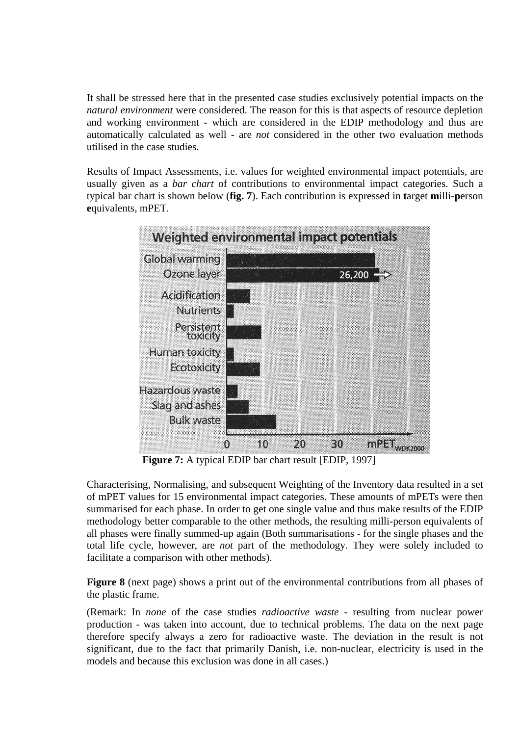It shall be stressed here that in the presented case studies exclusively potential impacts on the *natural environment* were considered. The reason for this is that aspects of resource depletion and working environment - which are considered in the EDIP methodology and thus are automatically calculated as well - are *not* considered in the other two evaluation methods utilised in the case studies.

Results of Impact Assessments, i.e. values for weighted environmental impact potentials, are usually given as a *bar chart* of contributions to environmental impact categories. Such a typical bar chart is shown below (**fig. 7**). Each contribution is expressed in **t**arget **m**illi-**p**erson **e**quivalents, mPET.



**Figure 7:** A typical EDIP bar chart result [EDIP, 1997]

Characterising, Normalising, and subsequent Weighting of the Inventory data resulted in a set of mPET values for 15 environmental impact categories. These amounts of mPETs were then summarised for each phase. In order to get one single value and thus make results of the EDIP methodology better comparable to the other methods, the resulting milli-person equivalents of all phases were finally summed-up again (Both summarisations - for the single phases and the total life cycle, however, are *not* part of the methodology. They were solely included to facilitate a comparison with other methods).

**Figure 8** (next page) shows a print out of the environmental contributions from all phases of the plastic frame.

(Remark: In *none* of the case studies *radioactive waste* - resulting from nuclear power production - was taken into account, due to technical problems. The data on the next page therefore specify always a zero for radioactive waste. The deviation in the result is not significant, due to the fact that primarily Danish, i.e. non-nuclear, electricity is used in the models and because this exclusion was done in all cases.)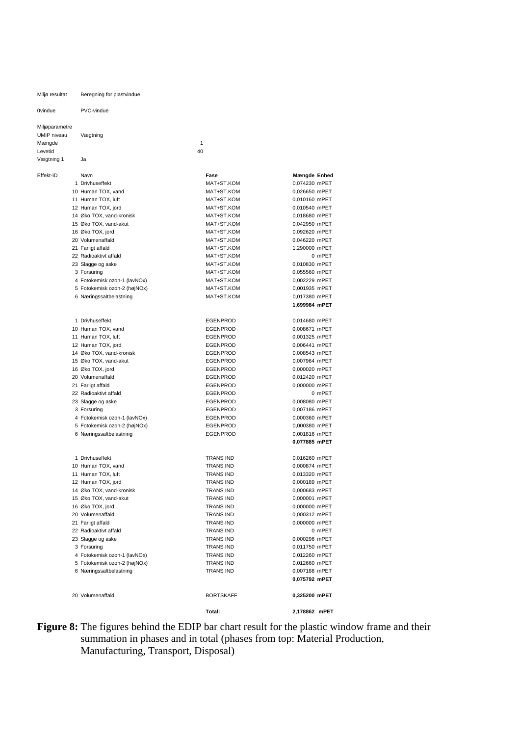Miljø resultat Beregning for plastvindue 0vindue PVC-vindue Miljøparametre UMIP niveau Vægtning Mængde til 1999 og hans som ble stort at det stort at den stort at det stort at det stort at det stort at det s Levetid 40 Vægtning 1 Ja Effekt-ID Navn **Fase Mængde Enhed** 1 Drivhuseffekt MAT+ST.KOM 0,074230 mPET 10 Human TOX, vand MAT+ST.KOM 0,026650 mPET 11 Human TOX, luft **MAT+ST KOM** 0,010160 mPFT 12 Human TOX, jord **MAT+ST.KOM** 0,010540 mPET 14 Øko TOX, vand-kronisk MAT+ST.KOM 0,018680 mPET 15 Øko TOX, vand-akut 15 Øko TOX, vand-akut 15 Øko TOX, vand-akut 15 Oko 2010 MAT+ST.KOM 16 Øko TOX, jord MAT+ST.KOM 0,092620 mPET 20 Volumenaffald MAT+ST.KOM 0,046220 mPET 21 Farligt affald MAT+ST.KOM 1,290000 mPET 22 Radioaktivt affald **MAT+ST.KOM** 0 mPET 23 Slagge og aske MAT+ST.KOM 0,010830 mPET 3 Forsuring MAT+ST.KOM 0,055560 mPET 4 Fotokemisk ozon-1 (lavNOx) MAT+ST.KOM 0,002229 mPET 5 Fotokemisk ozon-2 (højNOx) MAT+ST.KOM 0,001935 mPET 6 Næringssaltbelastning MAT+ST.KOM 0,017380 mPET **1,699984 mPET**  1 Drivhuseffekt EGENPROD 0,014680 mPET 10 Human TOX, vand **EGENPROD** 6,008671 mPET 11 Human TOX, luft **EGENPROD** 6,001325 mPET 12 Human TOX, jord EGENPROD 0,006441 mPET 14 Øko TOX, vand-kronisk EGENPROD 0,008543 mPET 15 Øko TOX, vand-akut **EGENPROD** EGENPROD 0,007964 mPET 16 Øko TOX, jord EGENPROD 0,000020 mPET 20 Volumenaffald EGENPROD 0,012420 mPET 21 Farligt affald EGENPROD 0,000000 mPET 22 Radioaktivt affald **COVID-100 COVID-100 EGENPROD** COVID-100 MPET 23 Slagge og aske EGENPROD 0,008080 mPET EGENPROD 0,007186 mPET 4 Fotokemisk ozon-1 (lavNOx) EGENPROD 0,000360 mPET 5 Fotokemisk ozon-2 (højNOx) EGENPROD 0,000380 mPET 6 Næringssaltbelastning EGENPROD 0,001816 mPET **0,077885 mPET**  1 Drivhuseffekt TRANS IND 0,016260 mPET 10 Human TOX, vand **TRANS IND** 0,000874 mPET 11 Human TOX, luft **TRANS IND** 0,013320 mPET 12 Human TOX, jord **TRANS IND** 0,000189 mPET 14 Øko TOX, vand-kronisk TRANS IND 0,000683 mPET 15 Øko TOX, vand-akut TRANS IND 0,000001 mPET 16 Øko TOX, jord TRANS IND 0,000000 mPET 20 Volumenaffald TRANS IND 0,000312 mPET 21 Farligt affald **TRANS IND** 0,000000 mPET 22 Radioaktivt affald **TRANS IND** 23 Slagge og aske **TRANS IND** 0,000296 mPET 3 Forsuring TRANS IND 0,011750 mPET 4 Fotokemisk ozon-1 (lavNOx) TRANS IND 0,012260 mPET 5 Fotokemisk ozon-2 (højNOx) TRANS IND 0,012660 mPET 6 Næringssaltbelastning TRANS IND 0,007188 mPET **0,075792 mPET**  20 Volumenaffald BORTSKAFF **0,325200 mPET** 

**Figure 8:** The figures behind the EDIP bar chart result for the plastic window frame and their summation in phases and in total (phases from top: Material Production, Manufacturing, Transport, Disposal)

**Total: 2,178862 mPET**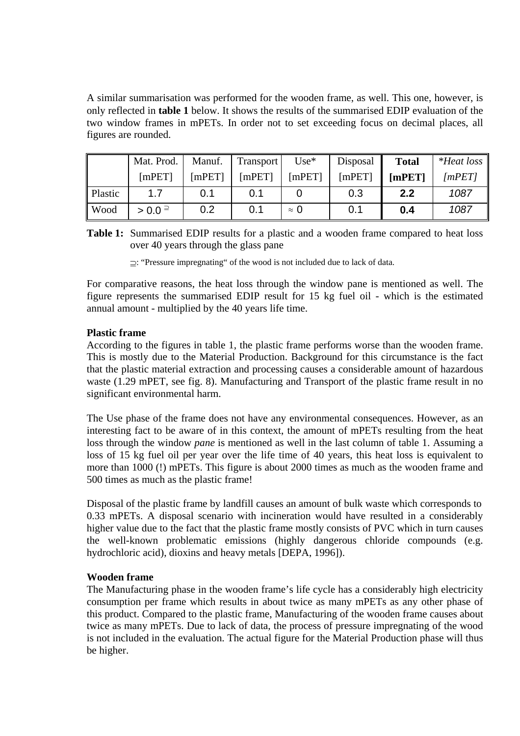A similar summarisation was performed for the wooden frame, as well. This one, however, is only reflected in **table 1** below. It shows the results of the summarised EDIP evaluation of the two window frames in mPETs. In order not to set exceeding focus on decimal places, all figures are rounded.

|         | Mat. Prod.           | Manuf. | Transport | $Use^*$     | Disposal | <b>Total</b> | $*$ Heat loss |
|---------|----------------------|--------|-----------|-------------|----------|--------------|---------------|
|         | [mPET]               | [mPET] | [mPET]    | [mPET]      | [mPET]   | [mPET]       | [mPET]        |
| Plastic | 17                   | 0.1    | 0.1       |             | 0.3      | 2.2          | 1087          |
| Wood    | $> 0.0$ <sup>2</sup> | 0.2    | 0.1       | $\approx$ 0 | 0.1      | 0.4          | 1087          |

**Table 1:** Summarised EDIP results for a plastic and a wooden frame compared to heat loss over 40 years through the glass pane

⊇: "Pressure impregnating" of the wood is not included due to lack of data.

For comparative reasons, the heat loss through the window pane is mentioned as well. The figure represents the summarised EDIP result for 15 kg fuel oil - which is the estimated annual amount - multiplied by the 40 years life time.

# **Plastic frame**

According to the figures in table 1, the plastic frame performs worse than the wooden frame. This is mostly due to the Material Production. Background for this circumstance is the fact that the plastic material extraction and processing causes a considerable amount of hazardous waste (1.29 mPET, see fig. 8). Manufacturing and Transport of the plastic frame result in no significant environmental harm.

The Use phase of the frame does not have any environmental consequences. However, as an interesting fact to be aware of in this context, the amount of mPETs resulting from the heat loss through the window *pane* is mentioned as well in the last column of table 1. Assuming a loss of 15 kg fuel oil per year over the life time of 40 years, this heat loss is equivalent to more than 1000 (!) mPETs. This figure is about 2000 times as much as the wooden frame and 500 times as much as the plastic frame!

Disposal of the plastic frame by landfill causes an amount of bulk waste which corresponds to 0.33 mPETs. A disposal scenario with incineration would have resulted in a considerably higher value due to the fact that the plastic frame mostly consists of PVC which in turn causes the well-known problematic emissions (highly dangerous chloride compounds (e.g. hydrochloric acid), dioxins and heavy metals [DEPA, 1996]).

#### **Wooden frame**

The Manufacturing phase in the wooden frame's life cycle has a considerably high electricity consumption per frame which results in about twice as many mPETs as any other phase of this product. Compared to the plastic frame, Manufacturing of the wooden frame causes about twice as many mPETs. Due to lack of data, the process of pressure impregnating of the wood is not included in the evaluation. The actual figure for the Material Production phase will thus be higher.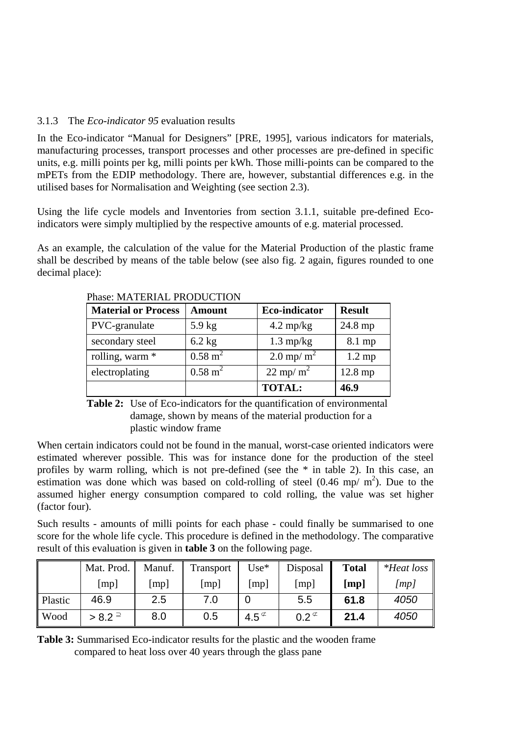# 3.1.3 The *Eco-indicator 95* evaluation results

In the Eco-indicator "Manual for Designers" [PRE, 1995], various indicators for materials, manufacturing processes, transport processes and other processes are pre-defined in specific units, e.g. milli points per kg, milli points per kWh. Those milli-points can be compared to the mPETs from the EDIP methodology. There are, however, substantial differences e.g. in the utilised bases for Normalisation and Weighting (see section 2.3).

Using the life cycle models and Inventories from section 3.1.1, suitable pre-defined Ecoindicators were simply multiplied by the respective amounts of e.g. material processed.

As an example, the calculation of the value for the Material Production of the plastic frame shall be described by means of the table below (see also fig. 2 again, figures rounded to one decimal place):

| <b>Material or Process</b> | <b>Amount</b>      | <b>Eco-indicator</b> | <b>Result</b>    |
|----------------------------|--------------------|----------------------|------------------|
| PVC-granulate              | $5.9 \text{ kg}$   | $4.2 \text{ mp/kg}$  | 24.8 mp          |
| secondary steel            | $6.2$ kg           | $1.3 \text{ mp/kg}$  | 8.1 mp           |
| rolling, warm *            | $0.58 \text{ m}^2$ | 2.0 mp/ $m^2$        | $1.2 \text{ mp}$ |
| electroplating             | $0.58 \text{ m}^2$ | $22 \text{ mp/m}^2$  | 12.8 mp          |
|                            |                    | <b>TOTAL:</b>        | 46.9             |

Phase: MATERIAL PRODUCTION

**Table 2:** Use of Eco-indicators for the quantification of environmental damage, shown by means of the material production for a plastic window frame

When certain indicators could not be found in the manual, worst-case oriented indicators were estimated wherever possible. This was for instance done for the production of the steel profiles by warm rolling, which is not pre-defined (see the \* in table 2). In this case, an estimation was done which was based on cold-rolling of steel  $(0.46 \text{ mp/m}^2)$ . Due to the assumed higher energy consumption compared to cold rolling, the value was set higher (factor four).

Such results - amounts of milli points for each phase - could finally be summarised to one score for the whole life cycle. This procedure is defined in the methodology. The comparative result of this evaluation is given in **table 3** on the following page.

|         | Mat. Prod. | Manuf. | Transport | $Use^*$       | Disposal         | <b>Total</b> | *Heat loss $\parallel$ |
|---------|------------|--------|-----------|---------------|------------------|--------------|------------------------|
|         | [mp]       | [mp]   | [mp]      | [mp]          | [mp]             | [mp]         | [mp]                   |
| Plastic | 46.9       | 2.5    | 7.0       |               | 5.5              | 61.8         | 4050                   |
| Wood    | $> 8.2 =$  | 8.0    | 0.5       | $4.5^{\circ}$ | $0.2\textdegree$ | 21.4         | 4050                   |

**Table 3:** Summarised Eco-indicator results for the plastic and the wooden frame compared to heat loss over 40 years through the glass pane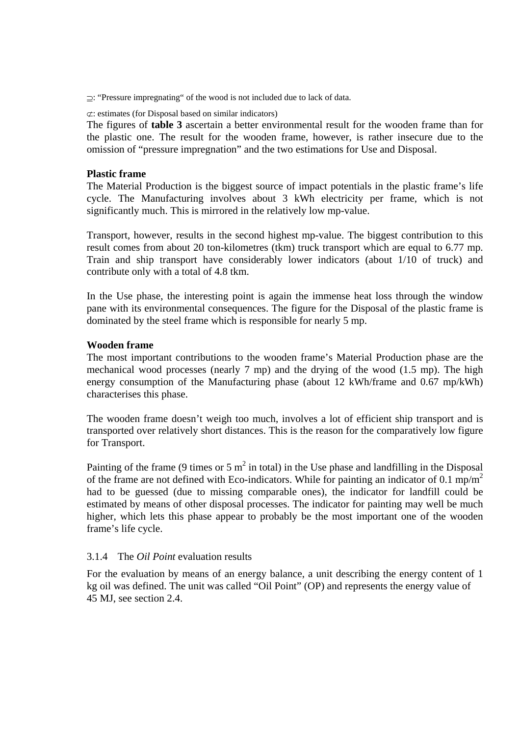⊇: "Pressure impregnating" of the wood is not included due to lack of data.

⊄: estimates (for Disposal based on similar indicators)

The figures of **table 3** ascertain a better environmental result for the wooden frame than for the plastic one. The result for the wooden frame, however, is rather insecure due to the omission of "pressure impregnation" and the two estimations for Use and Disposal.

#### **Plastic frame**

The Material Production is the biggest source of impact potentials in the plastic frame's life cycle. The Manufacturing involves about 3 kWh electricity per frame, which is not significantly much. This is mirrored in the relatively low mp-value.

Transport, however, results in the second highest mp-value. The biggest contribution to this result comes from about 20 ton-kilometres (tkm) truck transport which are equal to 6.77 mp. Train and ship transport have considerably lower indicators (about 1/10 of truck) and contribute only with a total of 4.8 tkm.

In the Use phase, the interesting point is again the immense heat loss through the window pane with its environmental consequences. The figure for the Disposal of the plastic frame is dominated by the steel frame which is responsible for nearly 5 mp.

### **Wooden frame**

The most important contributions to the wooden frame's Material Production phase are the mechanical wood processes (nearly 7 mp) and the drying of the wood (1.5 mp). The high energy consumption of the Manufacturing phase (about 12 kWh/frame and 0.67 mp/kWh) characterises this phase.

The wooden frame doesn't weigh too much, involves a lot of efficient ship transport and is transported over relatively short distances. This is the reason for the comparatively low figure for Transport.

Painting of the frame (9 times or 5  $m^2$  in total) in the Use phase and landfilling in the Disposal of the frame are not defined with Eco-indicators. While for painting an indicator of 0.1 mp/m<sup>2</sup> had to be guessed (due to missing comparable ones), the indicator for landfill could be estimated by means of other disposal processes. The indicator for painting may well be much higher, which lets this phase appear to probably be the most important one of the wooden frame's life cycle.

#### 3.1.4 The *Oil Point* evaluation results

For the evaluation by means of an energy balance, a unit describing the energy content of 1 kg oil was defined. The unit was called "Oil Point" (OP) and represents the energy value of 45 MJ, see section 2.4.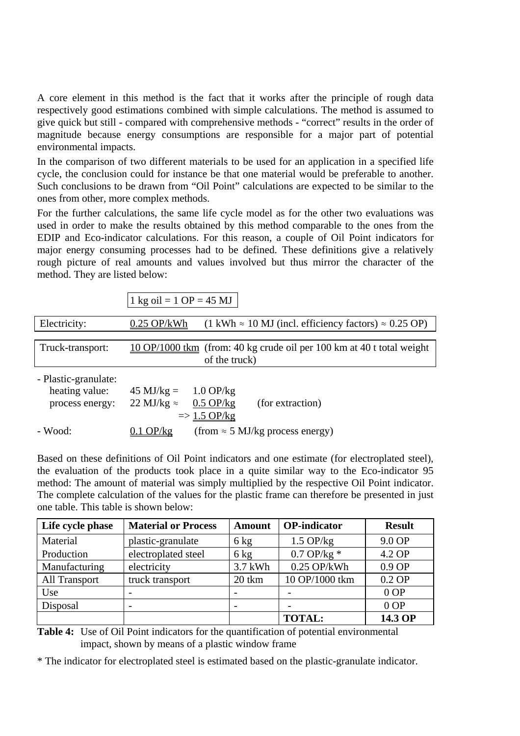A core element in this method is the fact that it works after the principle of rough data respectively good estimations combined with simple calculations. The method is assumed to give quick but still - compared with comprehensive methods - "correct" results in the order of magnitude because energy consumptions are responsible for a major part of potential environmental impacts.

In the comparison of two different materials to be used for an application in a specified life cycle, the conclusion could for instance be that one material would be preferable to another. Such conclusions to be drawn from "Oil Point" calculations are expected to be similar to the ones from other, more complex methods.

For the further calculations, the same life cycle model as for the other two evaluations was used in order to make the results obtained by this method comparable to the ones from the EDIP and Eco-indicator calculations. For this reason, a couple of Oil Point indicators for major energy consuming processes had to be defined. These definitions give a relatively rough picture of real amounts and values involved but thus mirror the character of the method. They are listed below:

|                      | 1 kg oil = 1 OP = 45 MJ                                                                                        |
|----------------------|----------------------------------------------------------------------------------------------------------------|
| Electricity:         | $0.25$ OP/kWh<br>$(1 \text{ kWh} \approx 10 \text{ MJ}$ (incl. efficiency factors) $\approx 0.25 \text{ OP}$ ) |
|                      |                                                                                                                |
| Truck-transport:     | 10 OP/1000 tkm (from: 40 kg crude oil per 100 km at 40 t total weight                                          |
|                      | of the truck)                                                                                                  |
| - Plastic-granulate: |                                                                                                                |
| heating value:       | $45 \text{ MJ/kg} = 1.0 \text{ OP/kg}$                                                                         |
| process energy:      | 22 MJ/kg $\approx$<br>$0.5$ OP/kg<br>(for extraction)                                                          |
|                      | $\Rightarrow$ 1.5 OP/kg                                                                                        |
| - Wood:              | (from $\approx$ 5 MJ/kg process energy)<br>$0.1$ OP/kg                                                         |

Based on these definitions of Oil Point indicators and one estimate (for electroplated steel), the evaluation of the products took place in a quite similar way to the Eco-indicator 95 method: The amount of material was simply multiplied by the respective Oil Point indicator. The complete calculation of the values for the plastic frame can therefore be presented in just one table. This table is shown below:

| Life cycle phase     | <b>Material or Process</b> | <b>Amount</b>  | <b>OP-indicator</b>   | <b>Result</b> |
|----------------------|----------------------------|----------------|-----------------------|---------------|
| Material             | plastic-granulate          | $6 \text{ kg}$ | $1.5$ OP/kg           | 9.0 OP        |
| Production           | electroplated steel        | $6 \text{ kg}$ | $0.7 \text{ OP/kg}$ * | 4.2 OP        |
| Manufacturing        | electricity                | 3.7 kWh        | $0.25$ OP/kWh         | $0.9$ OP      |
| <b>All Transport</b> | truck transport            | 20 tkm         | 10 OP/1000 tkm        | $0.2$ OP      |
| Use                  |                            |                |                       | $0$ OP        |
| Disposal             |                            |                |                       | $0$ OP        |
|                      |                            |                | <b>TOTAL:</b>         | 14.3 OP       |

**Table 4:** Use of Oil Point indicators for the quantification of potential environmental impact, shown by means of a plastic window frame

\* The indicator for electroplated steel is estimated based on the plastic-granulate indicator.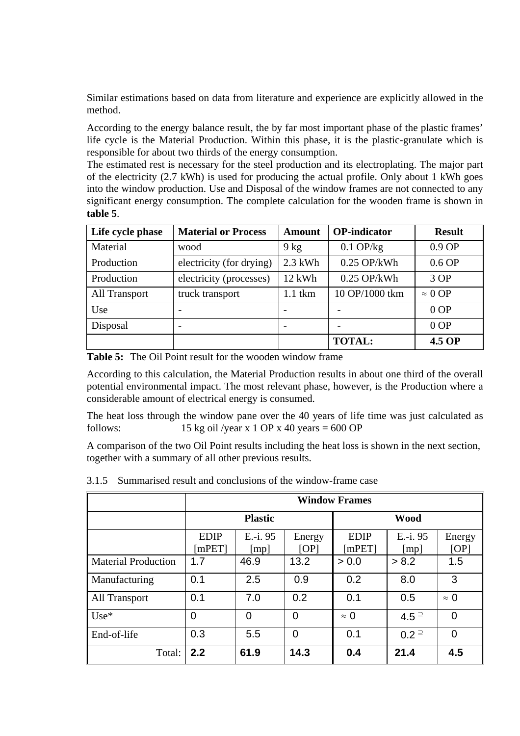Similar estimations based on data from literature and experience are explicitly allowed in the method.

According to the energy balance result, the by far most important phase of the plastic frames' life cycle is the Material Production. Within this phase, it is the plastic-granulate which is responsible for about two thirds of the energy consumption.

The estimated rest is necessary for the steel production and its electroplating. The major part of the electricity (2.7 kWh) is used for producing the actual profile. Only about 1 kWh goes into the window production. Use and Disposal of the window frames are not connected to any significant energy consumption. The complete calculation for the wooden frame is shown in **table 5**.

| Life cycle phase     | <b>Material or Process</b> | <b>Amount</b> | <b>OP-indicator</b> | <b>Result</b>  |
|----------------------|----------------------------|---------------|---------------------|----------------|
| Material             | wood                       | $9$ kg        | $0.1$ OP/kg         | $0.9$ OP       |
| Production           | electricity (for drying)   | $2.3$ kWh     | $0.25$ OP/kWh       | $0.6$ OP       |
| Production           | electricity (processes)    | 12 kWh        | $0.25$ OP/kWh       | 3OP            |
| <b>All Transport</b> | truck transport            | $1.1$ tkm     | 10 OP/1000 tkm      | $\approx 0$ OP |
| Use                  | $\overline{\phantom{0}}$   |               |                     | $0$ OP         |
| Disposal             |                            |               |                     | $0$ OP         |
|                      |                            |               | <b>TOTAL:</b>       | 4.5 OP         |

**Table 5:** The Oil Point result for the wooden window frame

According to this calculation, the Material Production results in about one third of the overall potential environmental impact. The most relevant phase, however, is the Production where a considerable amount of electrical energy is consumed.

The heat loss through the window pane over the 40 years of life time was just calculated as follows:  $15 \text{ kg}$  oil /year x 1 OP x 40 years = 600 OP

A comparison of the two Oil Point results including the heat loss is shown in the next section, together with a summary of all other previous results.

|                            | <b>Window Frames</b>  |                  |                |                       |                   |                |
|----------------------------|-----------------------|------------------|----------------|-----------------------|-------------------|----------------|
|                            |                       | <b>Plastic</b>   |                | <b>Wood</b>           |                   |                |
|                            | <b>EDIP</b><br>[mPET] | E.-i. 95<br>[mp] | Energy<br>[OP] | <b>EDIP</b><br>[mPET] | $E.-i.95$<br>[mp] | Energy<br>[OP] |
| <b>Material Production</b> | 1.7                   | 46.9             | 13.2           | > 0.0                 | > 8.2             | 1.5            |
| Manufacturing              | 0.1                   | 2.5              | 0.9            | 0.2                   | 8.0               | 3              |
| <b>All Transport</b>       | 0.1                   | 7.0              | 0.2            | 0.1                   | 0.5               | $\approx 0$    |
| $Use*$                     | $\overline{0}$        | 0                | $\overline{0}$ | $\approx 0$           | $4.5 =$           | $\overline{0}$ |
| End-of-life                | 0.3                   | 5.5              | $\overline{0}$ | 0.1                   | $0.2 =$           | 0              |
| Total:                     | 2.2                   | 61.9             | 14.3           | 0.4                   | 21.4              | 4.5            |

3.1.5 Summarised result and conclusions of the window-frame case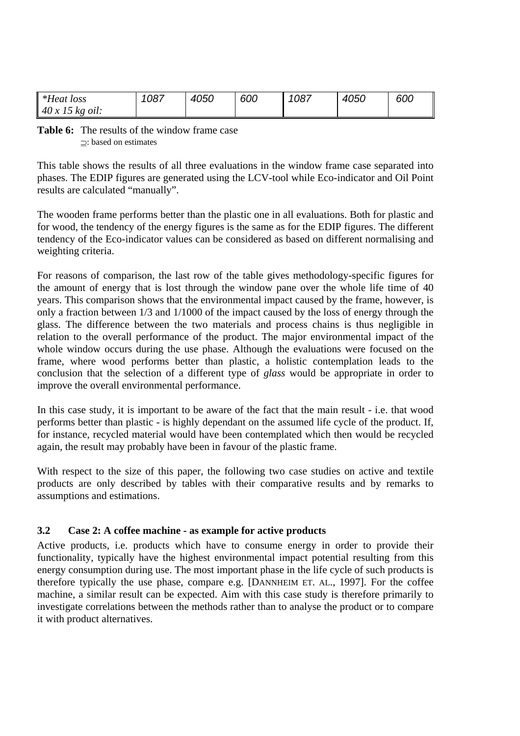| <i>*Heat loss</i> | 1087 | 4050 | 600 | 1087 | 4050 | 600 |
|-------------------|------|------|-----|------|------|-----|
| 40x15<br>kg oil:  |      |      |     |      |      |     |

**Table 6:** The results of the window frame case ⊇: based on estimates

This table shows the results of all three evaluations in the window frame case separated into phases. The EDIP figures are generated using the LCV-tool while Eco-indicator and Oil Point results are calculated "manually".

The wooden frame performs better than the plastic one in all evaluations. Both for plastic and for wood, the tendency of the energy figures is the same as for the EDIP figures. The different tendency of the Eco-indicator values can be considered as based on different normalising and weighting criteria.

For reasons of comparison, the last row of the table gives methodology-specific figures for the amount of energy that is lost through the window pane over the whole life time of 40 years. This comparison shows that the environmental impact caused by the frame, however, is only a fraction between 1/3 and 1/1000 of the impact caused by the loss of energy through the glass. The difference between the two materials and process chains is thus negligible in relation to the overall performance of the product. The major environmental impact of the whole window occurs during the use phase. Although the evaluations were focused on the frame, where wood performs better than plastic, a holistic contemplation leads to the conclusion that the selection of a different type of *glass* would be appropriate in order to improve the overall environmental performance.

In this case study, it is important to be aware of the fact that the main result - i.e. that wood performs better than plastic - is highly dependant on the assumed life cycle of the product. If, for instance, recycled material would have been contemplated which then would be recycled again, the result may probably have been in favour of the plastic frame.

With respect to the size of this paper, the following two case studies on active and textile products are only described by tables with their comparative results and by remarks to assumptions and estimations.

# **3.2 Case 2: A coffee machine - as example for active products**

Active products, i.e. products which have to consume energy in order to provide their functionality, typically have the highest environmental impact potential resulting from this energy consumption during use. The most important phase in the life cycle of such products is therefore typically the use phase, compare e.g. [DANNHEIM ET. AL., 1997]. For the coffee machine, a similar result can be expected. Aim with this case study is therefore primarily to investigate correlations between the methods rather than to analyse the product or to compare it with product alternatives.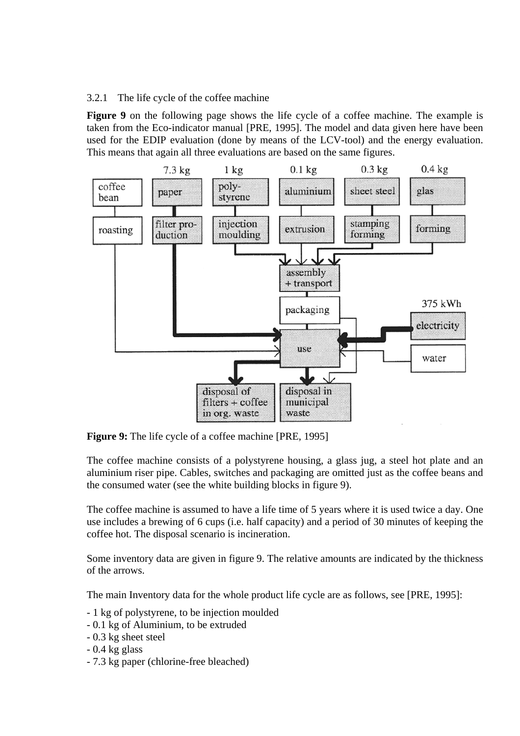3.2.1 The life cycle of the coffee machine

**Figure 9** on the following page shows the life cycle of a coffee machine. The example is taken from the Eco-indicator manual [PRE, 1995]. The model and data given here have been used for the EDIP evaluation (done by means of the LCV-tool) and the energy evaluation. This means that again all three evaluations are based on the same figures.



**Figure 9:** The life cycle of a coffee machine [PRE, 1995]

The coffee machine consists of a polystyrene housing, a glass jug, a steel hot plate and an aluminium riser pipe. Cables, switches and packaging are omitted just as the coffee beans and the consumed water (see the white building blocks in figure 9).

The coffee machine is assumed to have a life time of 5 years where it is used twice a day. One use includes a brewing of 6 cups (i.e. half capacity) and a period of 30 minutes of keeping the coffee hot. The disposal scenario is incineration.

Some inventory data are given in figure 9. The relative amounts are indicated by the thickness of the arrows.

The main Inventory data for the whole product life cycle are as follows, see [PRE, 1995]:

- 1 kg of polystyrene, to be injection moulded
- 0.1 kg of Aluminium, to be extruded
- 0.3 kg sheet steel
- 0.4 kg glass
- 7.3 kg paper (chlorine-free bleached)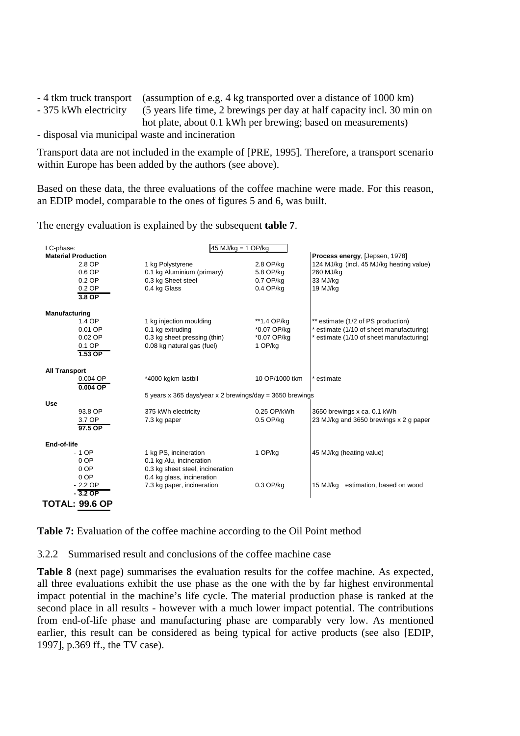| - 4 tkm truck transport (assumption of e.g. 4 kg transported over a distance of 1000 km)      |
|-----------------------------------------------------------------------------------------------|
| - 375 kWh electricity (5 years life time, 2 brewings per day at half capacity incl. 30 min on |
| hot plate, about 0.1 kWh per brewing; based on measurements)                                  |

- disposal via municipal waste and incineration

Transport data are not included in the example of [PRE, 1995]. Therefore, a transport scenario within Europe has been added by the authors (see above).

Based on these data, the three evaluations of the coffee machine were made. For this reason, an EDIP model, comparable to the ones of figures 5 and 6, was built.

The energy evaluation is explained by the subsequent **table 7**.

| LC-phase:                  | $45$ MJ/kg = 1 OP/kg                                     |                |                                          |
|----------------------------|----------------------------------------------------------|----------------|------------------------------------------|
| <b>Material Production</b> |                                                          |                | Process energy, [Jepsen, 1978]           |
| 2.8 OP                     | 1 kg Polystyrene                                         | 2.8 OP/kg      | 124 MJ/kg (incl. 45 MJ/kg heating value) |
| $0.6$ OP                   | 0.1 kg Aluminium (primary)                               | 5.8 OP/kg      | 260 MJ/kg                                |
| $0.2$ OP                   | 0.3 kg Sheet steel                                       | $0.7$ OP/ $kq$ | 33 MJ/kg                                 |
| $0.2$ OP                   | 0.4 kg Glass                                             | $0.4$ OP/kg    | 19 MJ/ka                                 |
| $3.8$ OP                   |                                                          |                |                                          |
| Manufacturing              |                                                          |                |                                          |
| 1.4 OP                     | 1 kg injection moulding                                  | **1.4 OP/kg    | ** estimate (1/2 of PS production)       |
| 0.01 OP                    | 0.1 kg extruding                                         | *0.07 OP/kg    | estimate (1/10 of sheet manufacturing)   |
| $0.02$ OP                  | 0.3 kg sheet pressing (thin)                             | *0.07 OP/kg    | estimate (1/10 of sheet manufacturing)   |
| 0.1 OP                     | 0.08 kg natural gas (fuel)                               | 1 OP/kg        |                                          |
| 1.53 OP                    |                                                          |                |                                          |
| <b>All Transport</b>       |                                                          |                |                                          |
| $0.004$ OP                 | *4000 kgkm lastbil                                       | 10 OP/1000 tkm | estimate                                 |
| $0.004$ OP                 |                                                          |                |                                          |
|                            | 5 years x 365 days/year x 2 brewings/day = 3650 brewings |                |                                          |
| Use                        |                                                          |                |                                          |
| 93.8 OP                    | 375 kWh electricity                                      | 0.25 OP/kWh    | 3650 brewings x ca. 0.1 kWh              |
| 3.7 OP                     | 7.3 kg paper                                             | $0.5$ OP/kg    | 23 MJ/kg and 3650 brewings x 2 g paper   |
| 97.5 OP                    |                                                          |                |                                          |
| End-of-life                |                                                          |                |                                          |
| - 1 OP                     | 1 kg PS, incineration                                    | 1 OP/kg        | 45 MJ/kg (heating value)                 |
| 0 OP                       | 0.1 kg Alu, incineration                                 |                |                                          |
| 0 OP                       | 0.3 kg sheet steel, incineration                         |                |                                          |
| 0 OP                       | 0.4 kg glass, incineration                               |                |                                          |
| $-2.2$ OP                  | 7.3 kg paper, incineration                               | 0.3 OP/kg      | 15 MJ/ka<br>estimation, based on wood    |
| $-3.2$ OP                  |                                                          |                |                                          |
| TOTAL: 99.6 OP             |                                                          |                |                                          |

**Table 7:** Evaluation of the coffee machine according to the Oil Point method

3.2.2 Summarised result and conclusions of the coffee machine case

**Table 8** (next page) summarises the evaluation results for the coffee machine. As expected, all three evaluations exhibit the use phase as the one with the by far highest environmental impact potential in the machine's life cycle. The material production phase is ranked at the second place in all results - however with a much lower impact potential. The contributions from end-of-life phase and manufacturing phase are comparably very low. As mentioned earlier, this result can be considered as being typical for active products (see also [EDIP, 1997], p.369 ff., the TV case).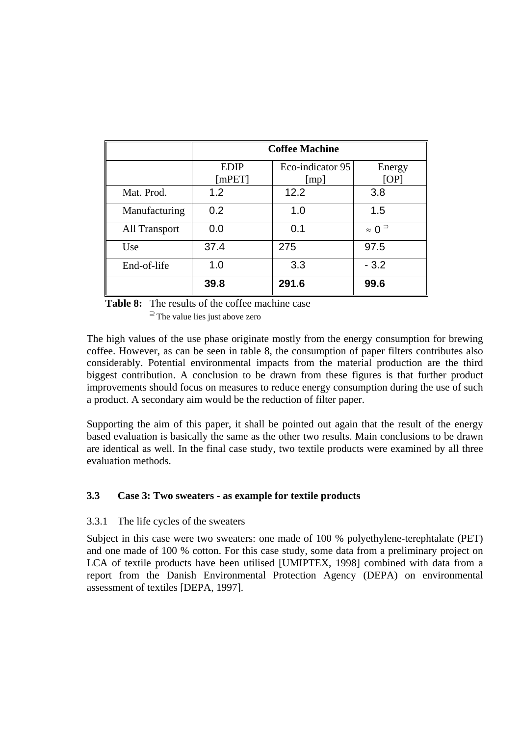|                      | <b>Coffee Machine</b> |                          |                          |  |  |
|----------------------|-----------------------|--------------------------|--------------------------|--|--|
|                      | <b>EDIP</b><br>[mPET] | Eco-indicator 95<br>[mp] | Energy<br>[OP]           |  |  |
| Mat. Prod.           | 1.2                   | 12.2                     | 3.8                      |  |  |
| Manufacturing        | 0.2                   | 1.0                      | 1.5                      |  |  |
| <b>All Transport</b> | 0.0                   | 0.1                      | $\approx 0$ <sup>2</sup> |  |  |
| Use                  | 37.4                  | 275                      | 97.5                     |  |  |
| End-of-life          | 1.0                   | 3.3                      | $-3.2$                   |  |  |
|                      | 39.8                  | 291.6                    | 99.6                     |  |  |

**Table 8:** The results of the coffee machine case

 $\supseteq$  The value lies just above zero

The high values of the use phase originate mostly from the energy consumption for brewing coffee. However, as can be seen in table 8, the consumption of paper filters contributes also considerably. Potential environmental impacts from the material production are the third biggest contribution. A conclusion to be drawn from these figures is that further product improvements should focus on measures to reduce energy consumption during the use of such a product. A secondary aim would be the reduction of filter paper.

Supporting the aim of this paper, it shall be pointed out again that the result of the energy based evaluation is basically the same as the other two results. Main conclusions to be drawn are identical as well. In the final case study, two textile products were examined by all three evaluation methods.

# **3.3 Case 3: Two sweaters - as example for textile products**

# 3.3.1 The life cycles of the sweaters

Subject in this case were two sweaters: one made of 100 % polyethylene-terephtalate (PET) and one made of 100 % cotton. For this case study, some data from a preliminary project on LCA of textile products have been utilised [UMIPTEX, 1998] combined with data from a report from the Danish Environmental Protection Agency (DEPA) on environmental assessment of textiles [DEPA, 1997].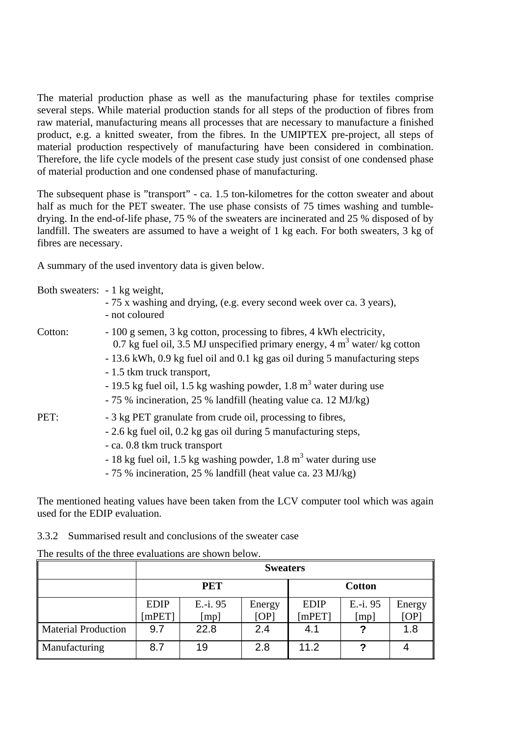The material production phase as well as the manufacturing phase for textiles comprise several steps. While material production stands for all steps of the production of fibres from raw material, manufacturing means all processes that are necessary to manufacture a finished product, e.g. a knitted sweater, from the fibres. In the UMIPTEX pre-project, all steps of material production respectively of manufacturing have been considered in combination. Therefore, the life cycle models of the present case study just consist of one condensed phase of material production and one condensed phase of manufacturing.

The subsequent phase is "transport" - ca. 1.5 ton-kilometres for the cotton sweater and about half as much for the PET sweater. The use phase consists of 75 times washing and tumbledrying. In the end-of-life phase, 75 % of the sweaters are incinerated and 25 % disposed of by landfill. The sweaters are assumed to have a weight of 1 kg each. For both sweaters, 3 kg of fibres are necessary.

A summary of the used inventory data is given below.

| Both sweaters: - 1 kg weight, | - 75 x washing and drying, (e.g. every second week over ca. 3 years),<br>- not coloured                                                                                                                                                                                                                                                                                                                    |
|-------------------------------|------------------------------------------------------------------------------------------------------------------------------------------------------------------------------------------------------------------------------------------------------------------------------------------------------------------------------------------------------------------------------------------------------------|
| Cotton:                       | - 100 g semen, 3 kg cotton, processing to fibres, 4 kWh electricity,<br>0.7 kg fuel oil, 3.5 MJ unspecified primary energy, 4 $m3$ water/kg cotton<br>- 13.6 kWh, 0.9 kg fuel oil and 0.1 kg gas oil during 5 manufacturing steps<br>- 1.5 tkm truck transport,<br>- 19.5 kg fuel oil, 1.5 kg washing powder, 1.8 $m3$ water during use<br>- 75 % incineration, 25 % landfill (heating value ca. 12 MJ/kg) |
| PET:                          | - 3 kg PET granulate from crude oil, processing to fibres,<br>- 2.6 kg fuel oil, 0.2 kg gas oil during 5 manufacturing steps,<br>- ca. 0.8 tkm truck transport<br>- 18 kg fuel oil, 1.5 kg washing powder, 1.8 $m3$ water during use<br>- 75 % incineration, 25 % landfill (heat value ca. 23 MJ/kg)                                                                                                       |

The mentioned heating values have been taken from the LCV computer tool which was again used for the EDIP evaluation.

| 3.3.2 Summarised result and conclusions of the sweater case |  |  |  |  |  |  |
|-------------------------------------------------------------|--|--|--|--|--|--|
|-------------------------------------------------------------|--|--|--|--|--|--|

| The results of the three evaluations are shown below. |  |
|-------------------------------------------------------|--|
|-------------------------------------------------------|--|

|                            | <b>Sweaters</b> |          |        |               |          |        |
|----------------------------|-----------------|----------|--------|---------------|----------|--------|
|                            | <b>PET</b>      |          |        | <b>Cotton</b> |          |        |
|                            | <b>EDIP</b>     | E.-i. 95 | Energy | <b>EDIP</b>   | E.-i. 95 | Energy |
|                            | [mPET]          | [mp]     | [OP]   | [ $mPET$ ]    | [mp]     | [OP]   |
| <b>Material Production</b> | 9.7             | 22.8     | 2.4    | 4.1           |          | 1.8    |
| Manufacturing              | 8.7             | 19       | 2.8    | 11.2          |          |        |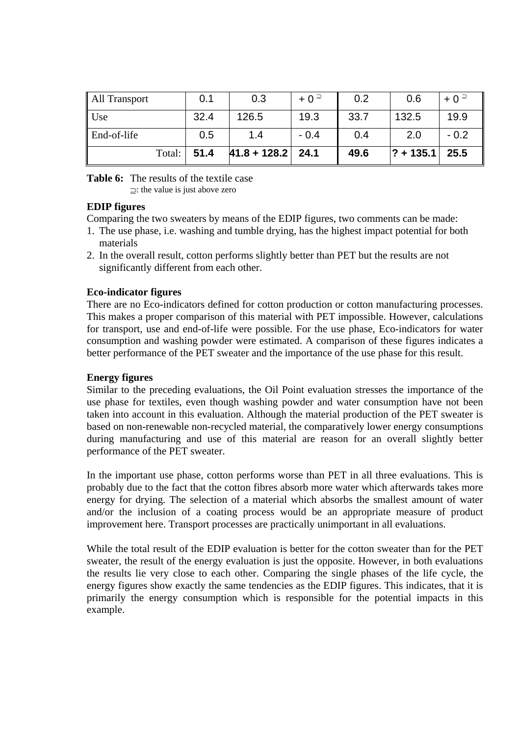| All Transport           | 0.1  | 0.3                   | $+0$ <sup><math>\supseteq</math></sup> | 0.2  | 0.6           | $+0$ <sup><math>\supseteq</math></sup> |
|-------------------------|------|-----------------------|----------------------------------------|------|---------------|----------------------------------------|
| $\big $ Use             | 32.4 | 126.5                 | 19.3                                   | 33.7 | 132.5         | 19.9                                   |
| $\parallel$ End-of-life | 0.5  | 1.4                   | $-0.4$                                 | 0.4  | 2.0           | $-0.2$                                 |
| Total:                  | 51.4 | $ 41.8 + 128.2 $ 24.1 |                                        | 49.6 | $ ? + 135.1 $ | 25.5                                   |

**Table 6:** The results of the textile case

⊇: the value is just above zero

# **EDIP figures**

Comparing the two sweaters by means of the EDIP figures, two comments can be made:

- 1. The use phase, i.e. washing and tumble drying, has the highest impact potential for both materials
- 2. In the overall result, cotton performs slightly better than PET but the results are not significantly different from each other.

# **Eco-indicator figures**

There are no Eco-indicators defined for cotton production or cotton manufacturing processes. This makes a proper comparison of this material with PET impossible. However, calculations for transport, use and end-of-life were possible. For the use phase, Eco-indicators for water consumption and washing powder were estimated. A comparison of these figures indicates a better performance of the PET sweater and the importance of the use phase for this result.

# **Energy figures**

Similar to the preceding evaluations, the Oil Point evaluation stresses the importance of the use phase for textiles, even though washing powder and water consumption have not been taken into account in this evaluation. Although the material production of the PET sweater is based on non-renewable non-recycled material, the comparatively lower energy consumptions during manufacturing and use of this material are reason for an overall slightly better performance of the PET sweater.

In the important use phase, cotton performs worse than PET in all three evaluations. This is probably due to the fact that the cotton fibres absorb more water which afterwards takes more energy for drying. The selection of a material which absorbs the smallest amount of water and/or the inclusion of a coating process would be an appropriate measure of product improvement here. Transport processes are practically unimportant in all evaluations.

While the total result of the EDIP evaluation is better for the cotton sweater than for the PET sweater, the result of the energy evaluation is just the opposite. However, in both evaluations the results lie very close to each other. Comparing the single phases of the life cycle, the energy figures show exactly the same tendencies as the EDIP figures. This indicates, that it is primarily the energy consumption which is responsible for the potential impacts in this example.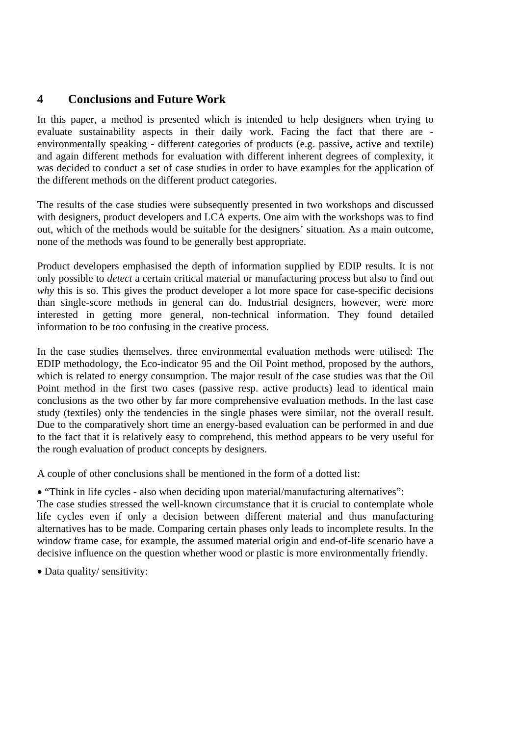# **4 Conclusions and Future Work**

In this paper, a method is presented which is intended to help designers when trying to evaluate sustainability aspects in their daily work. Facing the fact that there are environmentally speaking - different categories of products (e.g. passive, active and textile) and again different methods for evaluation with different inherent degrees of complexity, it was decided to conduct a set of case studies in order to have examples for the application of the different methods on the different product categories.

The results of the case studies were subsequently presented in two workshops and discussed with designers, product developers and LCA experts. One aim with the workshops was to find out, which of the methods would be suitable for the designers' situation. As a main outcome, none of the methods was found to be generally best appropriate.

Product developers emphasised the depth of information supplied by EDIP results. It is not only possible to *detect* a certain critical material or manufacturing process but also to find out *why* this is so. This gives the product developer a lot more space for case-specific decisions than single-score methods in general can do. Industrial designers, however, were more interested in getting more general, non-technical information. They found detailed information to be too confusing in the creative process.

In the case studies themselves, three environmental evaluation methods were utilised: The EDIP methodology, the Eco-indicator 95 and the Oil Point method, proposed by the authors, which is related to energy consumption. The major result of the case studies was that the Oil Point method in the first two cases (passive resp. active products) lead to identical main conclusions as the two other by far more comprehensive evaluation methods. In the last case study (textiles) only the tendencies in the single phases were similar, not the overall result. Due to the comparatively short time an energy-based evaluation can be performed in and due to the fact that it is relatively easy to comprehend, this method appears to be very useful for the rough evaluation of product concepts by designers.

A couple of other conclusions shall be mentioned in the form of a dotted list:

• "Think in life cycles - also when deciding upon material/manufacturing alternatives": The case studies stressed the well-known circumstance that it is crucial to contemplate whole life cycles even if only a decision between different material and thus manufacturing alternatives has to be made. Comparing certain phases only leads to incomplete results. In the window frame case, for example, the assumed material origin and end-of-life scenario have a decisive influence on the question whether wood or plastic is more environmentally friendly.

• Data quality/ sensitivity: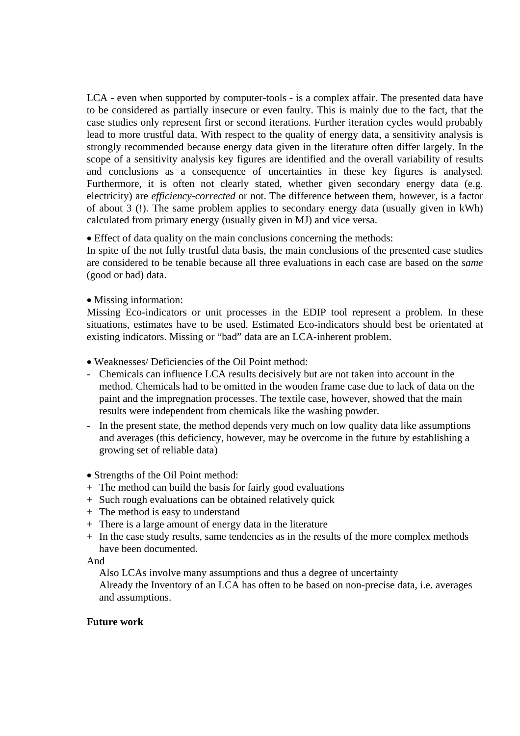LCA - even when supported by computer-tools - is a complex affair. The presented data have to be considered as partially insecure or even faulty. This is mainly due to the fact, that the case studies only represent first or second iterations. Further iteration cycles would probably lead to more trustful data. With respect to the quality of energy data, a sensitivity analysis is strongly recommended because energy data given in the literature often differ largely. In the scope of a sensitivity analysis key figures are identified and the overall variability of results and conclusions as a consequence of uncertainties in these key figures is analysed. Furthermore, it is often not clearly stated, whether given secondary energy data (e.g. electricity) are *efficiency-corrected* or not. The difference between them, however, is a factor of about 3 (!). The same problem applies to secondary energy data (usually given in kWh) calculated from primary energy (usually given in MJ) and vice versa.

• Effect of data quality on the main conclusions concerning the methods:

In spite of the not fully trustful data basis, the main conclusions of the presented case studies are considered to be tenable because all three evaluations in each case are based on the *same* (good or bad) data.

• Missing information:

Missing Eco-indicators or unit processes in the EDIP tool represent a problem. In these situations, estimates have to be used. Estimated Eco-indicators should best be orientated at existing indicators. Missing or "bad" data are an LCA-inherent problem.

- Weaknesses/ Deficiencies of the Oil Point method:
- Chemicals can influence LCA results decisively but are not taken into account in the method. Chemicals had to be omitted in the wooden frame case due to lack of data on the paint and the impregnation processes. The textile case, however, showed that the main results were independent from chemicals like the washing powder.
- In the present state, the method depends very much on low quality data like assumptions and averages (this deficiency, however, may be overcome in the future by establishing a growing set of reliable data)
- Strengths of the Oil Point method:
- + The method can build the basis for fairly good evaluations
- + Such rough evaluations can be obtained relatively quick
- + The method is easy to understand
- + There is a large amount of energy data in the literature
- + In the case study results, same tendencies as in the results of the more complex methods have been documented.

And

Also LCAs involve many assumptions and thus a degree of uncertainty

 Already the Inventory of an LCA has often to be based on non-precise data, i.e. averages and assumptions.

# **Future work**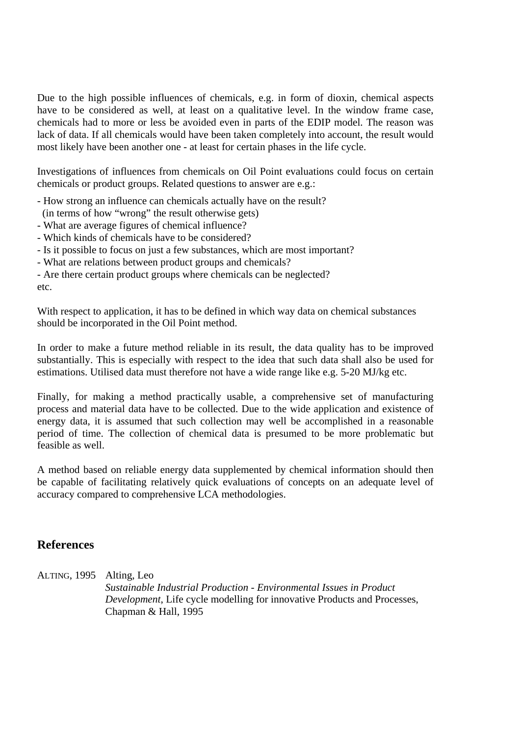Due to the high possible influences of chemicals, e.g. in form of dioxin, chemical aspects have to be considered as well, at least on a qualitative level. In the window frame case, chemicals had to more or less be avoided even in parts of the EDIP model. The reason was lack of data. If all chemicals would have been taken completely into account, the result would most likely have been another one - at least for certain phases in the life cycle.

Investigations of influences from chemicals on Oil Point evaluations could focus on certain chemicals or product groups. Related questions to answer are e.g.:

- How strong an influence can chemicals actually have on the result?
- (in terms of how "wrong" the result otherwise gets)
- What are average figures of chemical influence?
- Which kinds of chemicals have to be considered?
- Is it possible to focus on just a few substances, which are most important?
- What are relations between product groups and chemicals?
- Are there certain product groups where chemicals can be neglected? etc.

With respect to application, it has to be defined in which way data on chemical substances should be incorporated in the Oil Point method.

In order to make a future method reliable in its result, the data quality has to be improved substantially. This is especially with respect to the idea that such data shall also be used for estimations. Utilised data must therefore not have a wide range like e.g. 5-20 MJ/kg etc.

Finally, for making a method practically usable, a comprehensive set of manufacturing process and material data have to be collected. Due to the wide application and existence of energy data, it is assumed that such collection may well be accomplished in a reasonable period of time. The collection of chemical data is presumed to be more problematic but feasible as well.

A method based on reliable energy data supplemented by chemical information should then be capable of facilitating relatively quick evaluations of concepts on an adequate level of accuracy compared to comprehensive LCA methodologies.

# **References**

ALTING, 1995 Alting, Leo

*Sustainable Industrial Production - Environmental Issues in Product Development*, Life cycle modelling for innovative Products and Processes, Chapman & Hall, 1995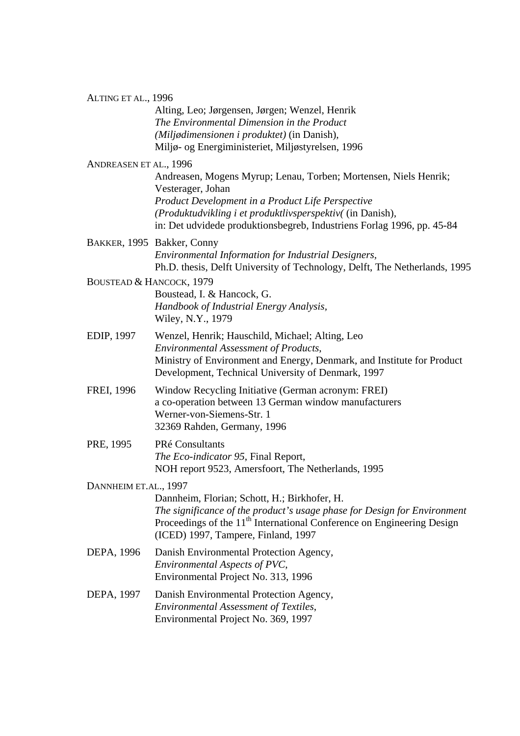#### ALTING ET AL., 1996

Alting, Leo; Jørgensen, Jørgen; Wenzel, Henrik *The Environmental Dimension in the Product (Miljødimensionen i produktet)* (in Danish)*,* Miljø- og Energiministeriet, Miljøstyrelsen, 1996

# ANDREASEN ET AL., 1996

Andreasen, Mogens Myrup; Lenau, Torben; Mortensen, Niels Henrik; Vesterager, Johan *Product Development in a Product Life Perspective (Produktudvikling i et produktlivsperspektiv(* (in Danish)*,*  in: Det udvidede produktionsbegreb, Industriens Forlag 1996, pp. 45-84

BAKKER, 1995 Bakker, Conny *Environmental Information for Industrial Designers,* Ph.D. thesis, Delft University of Technology, Delft, The Netherlands, 1995

# BOUSTEAD & HANCOCK, 1979

Boustead, I. & Hancock, G. *Handbook of Industrial Energy Analysis,*  Wiley, N.Y., 1979

- EDIP, 1997 Wenzel, Henrik; Hauschild, Michael; Alting, Leo *Environmental Assessment of Products*, Ministry of Environment and Energy, Denmark, and Institute for Product Development, Technical University of Denmark, 1997
- FREI, 1996 Window Recycling Initiative (German acronym: FREI) a co-operation between 13 German window manufacturers Werner-von-Siemens-Str. 1 32369 Rahden, Germany, 1996
- PRE, 1995 PRé Consultants *The Eco-indicator 95*, Final Report, NOH report 9523, Amersfoort, The Netherlands, 1995

# DANNHEIM ET.AL., 1997

Dannheim, Florian; Schott, H.; Birkhofer, H. *The significance of the product's usage phase for Design for Environment* Proceedings of the 11<sup>th</sup> International Conference on Engineering Design (ICED) 1997, Tampere, Finland, 1997

DEPA, 1996 Danish Environmental Protection Agency, *Environmental Aspects of PVC*, Environmental Project No. 313, 1996

# DEPA, 1997 Danish Environmental Protection Agency, *Environmental Assessment of Textiles*, Environmental Project No. 369, 1997